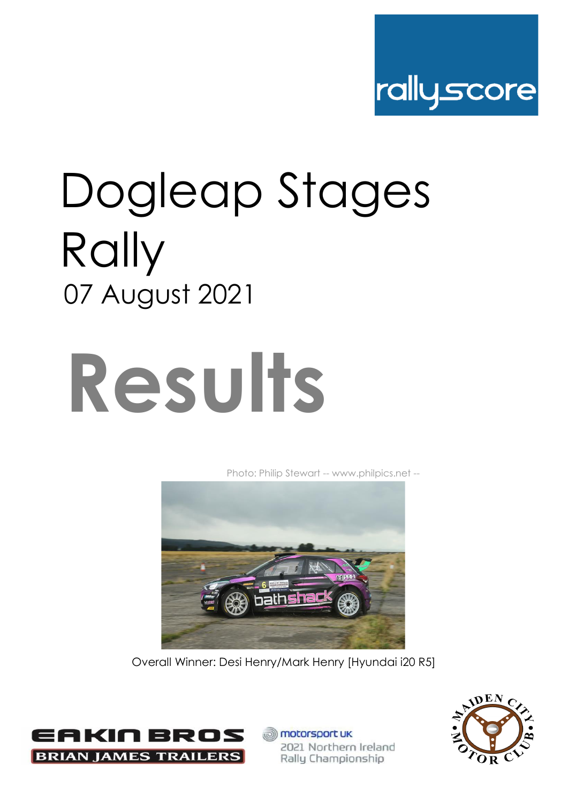

## Dogleap Stages Rally 07 August 2021

# **Results**

[Ph](http://www.philpics.net/)oto: Philip Stewart -- www.philpics.net --



Overall Winner: Desi Henry/Mark Henry [Hyundai i20 R5]



**motorsport UK** 2021 Northern Ireland Rally Championship

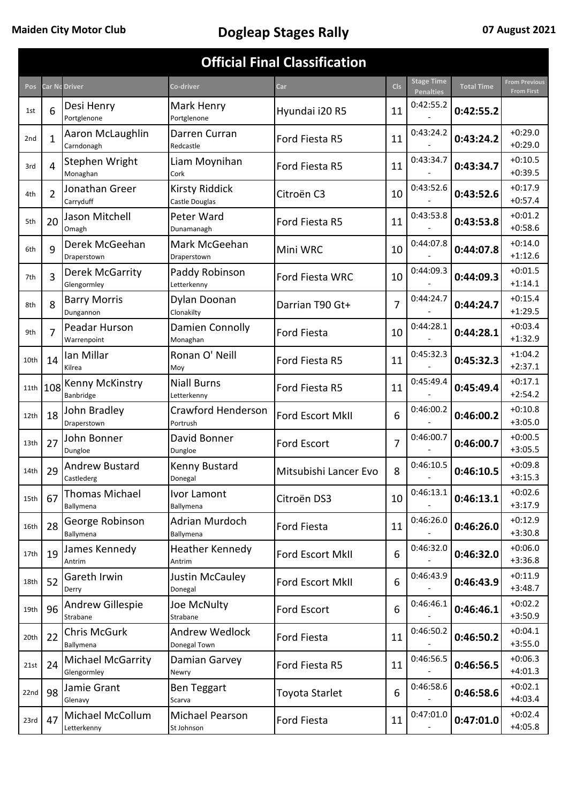| <b>Official Final Classification</b> |                |                                     |                                       |                        |                |                                       |                   |                                           |  |  |  |  |
|--------------------------------------|----------------|-------------------------------------|---------------------------------------|------------------------|----------------|---------------------------------------|-------------------|-------------------------------------------|--|--|--|--|
| Pos                                  |                | Car Nc Driver                       | Co-driver                             | Car                    | <b>Cls</b>     | <b>Stage Time</b><br><b>Penalties</b> | <b>Total Time</b> | <b>From Previous</b><br><b>From First</b> |  |  |  |  |
| 1st                                  | 6              | Desi Henry<br>Portglenone           | Mark Henry<br>Portglenone             | Hyundai i20 R5         | 11             | 0:42:55.2                             | 0:42:55.2         |                                           |  |  |  |  |
| 2 <sub>nd</sub>                      | 1              | Aaron McLaughlin<br>Carndonagh      | Darren Curran<br>Redcastle            | Ford Fiesta R5         | 11             | 0:43:24.2                             | 0:43:24.2         | $+0.29.0$<br>$+0:29.0$                    |  |  |  |  |
| 3rd                                  | 4              | Stephen Wright<br>Monaghan          | Liam Moynihan<br>Cork                 | Ford Fiesta R5         | 11             | 0:43:34.7                             | 0:43:34.7         | $+0:10.5$<br>$+0:39.5$                    |  |  |  |  |
| 4th                                  | $\overline{2}$ | Jonathan Greer<br>Carryduff         | Kirsty Riddick<br>Castle Douglas      | Citroën C3             | 10             | 0:43:52.6                             | 0:43:52.6         | $+0:17.9$<br>$+0:57.4$                    |  |  |  |  |
| 5th                                  | 20             | Jason Mitchell<br>Omagh             | Peter Ward<br>Dunamanagh              | Ford Fiesta R5         | 11             | 0:43:53.8                             | 0:43:53.8         | $+0:01.2$<br>$+0:58.6$                    |  |  |  |  |
| 6th                                  | 9              | Derek McGeehan<br>Draperstown       | Mark McGeehan<br>Draperstown          | Mini WRC               | 10             | 0:44:07.8                             | 0:44:07.8         | $+0:14.0$<br>$+1:12.6$                    |  |  |  |  |
| 7th                                  | 3              | Derek McGarrity<br>Glengormley      | Paddy Robinson<br>Letterkenny         | <b>Ford Fiesta WRC</b> | 10             | 0:44:09.3                             | 0:44:09.3         | $+0:01.5$<br>$+1:14.1$                    |  |  |  |  |
| 8th                                  | 8              | <b>Barry Morris</b><br>Dungannon    | Dylan Doonan<br>Clonakilty            | Darrian T90 Gt+        | 7              | 0:44:24.7                             | 0:44:24.7         | $+0:15.4$<br>$+1:29.5$                    |  |  |  |  |
| 9th                                  | 7              | Peadar Hurson<br>Warrenpoint        | Damien Connolly<br>Monaghan           | <b>Ford Fiesta</b>     | 10             | 0:44:28.1                             | 0:44:28.1         | $+0:03.4$<br>$+1:32.9$                    |  |  |  |  |
| 10th                                 | 14             | Ian Millar<br>Kilrea                | Ronan O' Neill<br>Moy                 | Ford Fiesta R5         | 11             | 0:45:32.3                             | 0:45:32.3         | $+1:04.2$<br>$+2:37.1$                    |  |  |  |  |
| 11th                                 | 108            | <b>Kenny McKinstry</b><br>Banbridge | <b>Niall Burns</b><br>Letterkenny     | Ford Fiesta R5         | 11             | 0:45:49.4                             | 0:45:49.4         | $+0:17.1$<br>$+2:54.2$                    |  |  |  |  |
| 12th                                 | 18             | John Bradley<br>Draperstown         | Crawford Henderson<br>Portrush        | Ford Escort MkII       | 6              | 0:46:00.2                             | 0:46:00.2         | $+0:10.8$<br>$+3:05.0$                    |  |  |  |  |
| 13th                                 | 27             | John Bonner<br>Dungloe              | David Bonner<br>Dungloe               | <b>Ford Escort</b>     | $\overline{7}$ | 0:46:00.7                             | 0:46:00.7         | $+0:00.5$<br>$+3:05.5$                    |  |  |  |  |
| 14th                                 | 29             | <b>Andrew Bustard</b><br>Castlederg | Kenny Bustard<br>Donegal              | Mitsubishi Lancer Evo  | 8              | 0:46:10.5                             | 0:46:10.5         | $+0:09.8$<br>$+3:15.3$                    |  |  |  |  |
| 15th                                 | 67             | Thomas Michael<br>Ballymena         | Ivor Lamont<br>Ballymena              | Citroën DS3            | 10             | 0:46:13.1                             | 0:46:13.1         | $+0:02.6$<br>$+3:17.9$                    |  |  |  |  |
| 16th                                 | 28             | George Robinson<br>Ballymena        | Adrian Murdoch<br>Ballymena           | Ford Fiesta            | 11             | 0:46:26.0                             | 0:46:26.0         | $+0:12.9$<br>$+3:30.8$                    |  |  |  |  |
| 17th                                 | 19             | James Kennedy<br>Antrim             | Heather Kennedy<br>Antrim             | Ford Escort MkII       | 6              | 0:46:32.0                             | 0:46:32.0         | $+0:06.0$<br>$+3:36.8$                    |  |  |  |  |
| 18th                                 | 52             | Gareth Irwin<br>Derry               | Justin McCauley<br>Donegal            | Ford Escort MkII       | 6              | 0:46:43.9                             | 0:46:43.9         | $+0:11.9$<br>$+3:48.7$                    |  |  |  |  |
| 19th                                 | 96             | <b>Andrew Gillespie</b><br>Strabane | Joe McNulty<br>Strabane               | Ford Escort            | 6              | 0:46:46.1                             | 0:46:46.1         | $+0:02.2$<br>$+3:50.9$                    |  |  |  |  |
| 20th                                 | 22             | <b>Chris McGurk</b><br>Ballymena    | <b>Andrew Wedlock</b><br>Donegal Town | Ford Fiesta            | 11             | 0:46:50.2                             | 0:46:50.2         | $+0:04.1$<br>$+3:55.0$                    |  |  |  |  |
| 21st                                 | 24             | Michael McGarrity<br>Glengormley    | Damian Garvey<br>Newry                | Ford Fiesta R5         | 11             | 0:46:56.5                             | 0:46:56.5         | $+0:06.3$<br>$+4:01.3$                    |  |  |  |  |
| 22nd                                 | 98             | Jamie Grant<br>Glenavy              | <b>Ben Teggart</b><br>Scarva          | Toyota Starlet         | 6              | 0:46:58.6                             | 0:46:58.6         | $+0:02.1$<br>$+4:03.4$                    |  |  |  |  |
| 23rd                                 | 47             | Michael McCollum<br>Letterkenny     | Michael Pearson<br>St Johnson         | Ford Fiesta            | 11             | 0:47:01.0                             | 0:47:01.0         | $+0:02.4$<br>$+4:05.8$                    |  |  |  |  |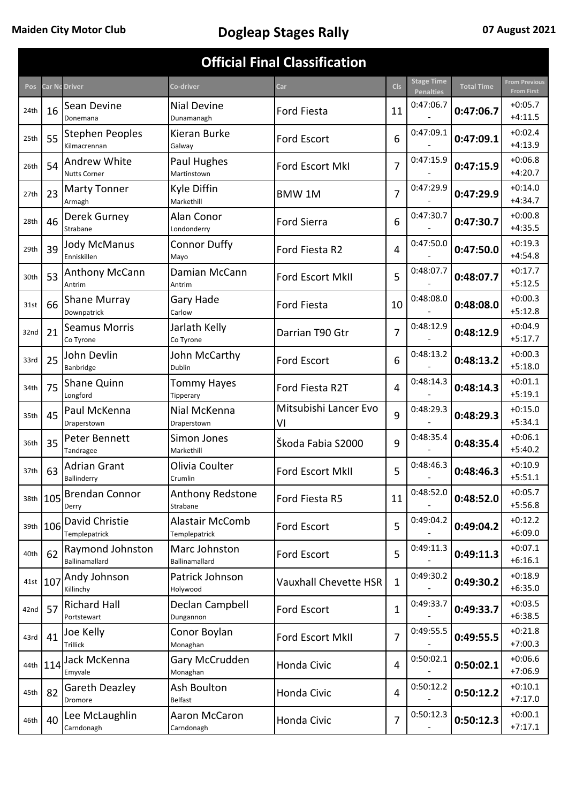| <b>Official Final Classification</b> |          |                                            |                                  |                              |                |                                       |                   |                                           |  |  |  |
|--------------------------------------|----------|--------------------------------------------|----------------------------------|------------------------------|----------------|---------------------------------------|-------------------|-------------------------------------------|--|--|--|
| Pos                                  |          | Car Ng Driver                              | Co-driver                        | Car                          | <b>Cls</b>     | <b>Stage Time</b><br><b>Penalties</b> | <b>Total Time</b> | <b>From Previous</b><br><b>From First</b> |  |  |  |
| 24th                                 | 16       | Sean Devine<br>Donemana                    | <b>Nial Devine</b><br>Dunamanagh | <b>Ford Fiesta</b>           | 11             | 0:47:06.7                             | 0:47:06.7         | $+0:05.7$<br>$+4:11.5$                    |  |  |  |
| 25th                                 | 55       | <b>Stephen Peoples</b><br>Kilmacrennan     | Kieran Burke<br>Galway           | <b>Ford Escort</b>           | 6              | 0:47:09.1                             | 0:47:09.1         | $+0:02.4$<br>$+4:13.9$                    |  |  |  |
| 26th                                 | 54       | <b>Andrew White</b><br><b>Nutts Corner</b> | Paul Hughes<br>Martinstown       | Ford Escort MkI              | 7              | 0:47:15.9                             | 0:47:15.9         | $+0:06.8$<br>$+4:20.7$                    |  |  |  |
| 27th                                 | 23       | <b>Marty Tonner</b><br>Armagh              | Kyle Diffin<br>Markethill        | <b>BMW1M</b>                 | $\overline{7}$ | 0:47:29.9                             | 0:47:29.9         | $+0:14.0$<br>$+4:34.7$                    |  |  |  |
| 28th                                 | 46       | Derek Gurney<br>Strabane                   | Alan Conor<br>Londonderry        | <b>Ford Sierra</b>           | 6              | 0:47:30.7                             | 0:47:30.7         | $+0:00.8$<br>$+4:35.5$                    |  |  |  |
| 29th                                 | 39       | <b>Jody McManus</b><br>Enniskillen         | <b>Connor Duffy</b><br>Mayo      | Ford Fiesta R2               | 4              | 0:47:50.0                             | 0:47:50.0         | $+0:19.3$<br>$+4:54.8$                    |  |  |  |
| 30th                                 | 53       | Anthony McCann<br>Antrim                   | Damian McCann<br>Antrim          | Ford Escort MkII             | 5              | 0:48:07.7                             | 0:48:07.7         | $+0:17.7$<br>$+5:12.5$                    |  |  |  |
| 31st                                 | 66       | Shane Murray<br>Downpatrick                | Gary Hade<br>Carlow              | <b>Ford Fiesta</b>           | 10             | 0:48:08.0                             | 0:48:08.0         | $+0:00.3$<br>$+5:12.8$                    |  |  |  |
| 32nd                                 | 21       | <b>Seamus Morris</b><br>Co Tyrone          | Jarlath Kelly<br>Co Tyrone       | Darrian T90 Gtr              | 7              | 0:48:12.9                             | 0:48:12.9         | $+0:04.9$<br>$+5:17.7$                    |  |  |  |
| 33rd                                 | 25       | John Devlin<br>Banbridge                   | John McCarthy<br><b>Dublin</b>   | <b>Ford Escort</b>           | 6              | 0:48:13.2                             | 0:48:13.2         | $+0:00.3$<br>$+5:18.0$                    |  |  |  |
| 34th                                 | 75       | Shane Quinn<br>Longford                    | <b>Tommy Hayes</b><br>Tipperary  | Ford Fiesta R2T              | 4              | 0:48:14.3                             | 0:48:14.3         | $+0:01.1$<br>$+5:19.1$                    |  |  |  |
| 35th                                 | 45       | Paul McKenna<br>Draperstown                | Nial McKenna<br>Draperstown      | Mitsubishi Lancer Evo<br>VI  | 9              | 0:48:29.3                             | 0:48:29.3         | $+0:15.0$<br>$+5:34.1$                    |  |  |  |
| 36th                                 | 35       | Peter Bennett<br>Tandragee                 | Simon Jones<br>Markethill        | Škoda Fabia S2000            | 9              | 0:48:35.4                             | 0:48:35.4         | $+0:06.1$<br>$+5:40.2$                    |  |  |  |
| 37th                                 | 63       | <b>Adrian Grant</b><br>Ballinderry         | Olivia Coulter<br>Crumlin        | Ford Escort MkII             | 5              | 0:48:46.3                             | 0:48:46.3         | $+0:10.9$<br>$+5:51.1$                    |  |  |  |
| 38th                                 | 105      | <b>Brendan Connor</b><br>Derry             | Anthony Redstone<br>Strabane     | Ford Fiesta R5               | 11             | 0:48:52.0                             | 0:48:52.0         | $+0:05.7$<br>$+5:56.8$                    |  |  |  |
|                                      | 39th 106 | David Christie<br>Templepatrick            | Alastair McComb<br>Templepatrick | Ford Escort                  | 5              | 0:49:04.2                             | 0:49:04.2         | $+0:12.2$<br>$+6:09.0$                    |  |  |  |
| 40th                                 | 62       | Raymond Johnston<br>Ballinamallard         | Marc Johnston<br>Ballinamallard  | Ford Escort                  | 5              | 0:49:11.3                             | 0:49:11.3         | $+0:07.1$<br>$+6:16.1$                    |  |  |  |
|                                      | 41st 107 | Andy Johnson<br>Killinchy                  | Patrick Johnson<br>Holywood      | <b>Vauxhall Chevette HSR</b> | $\mathbf{1}$   | 0:49:30.2                             | 0:49:30.2         | $+0:18.9$<br>$+6:35.0$                    |  |  |  |
| 42nd                                 | 57       | <b>Richard Hall</b><br>Portstewart         | Declan Campbell<br>Dungannon     | Ford Escort                  | 1              | 0:49:33.7                             | 0:49:33.7         | $+0:03.5$<br>$+6:38.5$                    |  |  |  |
| 43rd                                 | 41       | Joe Kelly<br>Trillick                      | Conor Boylan<br>Monaghan         | Ford Escort MkII             | $\overline{7}$ | 0:49:55.5                             | 0:49:55.5         | $+0:21.8$<br>$+7:00.3$                    |  |  |  |
| 44th                                 | 114      | Jack McKenna<br>Emyvale                    | Gary McCrudden<br>Monaghan       | Honda Civic                  | 4              | 0:50:02.1                             | 0:50:02.1         | $+0:06.6$<br>$+7:06.9$                    |  |  |  |
| 45th                                 | 82       | Gareth Deazley<br>Dromore                  | Ash Boulton<br>Belfast           | Honda Civic                  | 4              | 0:50:12.2                             | 0:50:12.2         | $+0:10.1$<br>$+7:17.0$                    |  |  |  |
| 46th                                 | 40       | Lee McLaughlin<br>Carndonagh               | Aaron McCaron<br>Carndonagh      | Honda Civic                  | $\overline{7}$ | 0:50:12.3                             | 0:50:12.3         | $+0:00.1$<br>$+7:17.1$                    |  |  |  |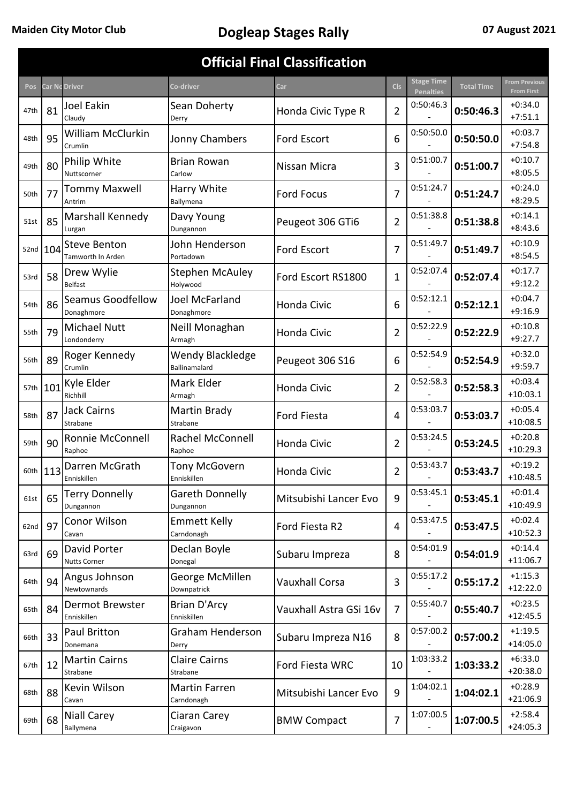| <b>Official Final Classification</b> |          |                                          |                                    |                        |                |                                       |                   |                                           |  |  |  |  |
|--------------------------------------|----------|------------------------------------------|------------------------------------|------------------------|----------------|---------------------------------------|-------------------|-------------------------------------------|--|--|--|--|
| Pos                                  |          | Car Nc Driver                            | Co-driver                          | Car                    | <b>Cls</b>     | <b>Stage Time</b><br><b>Penalties</b> | <b>Total Time</b> | <b>From Previous</b><br><b>From First</b> |  |  |  |  |
| 47th                                 | 81       | <b>Joel Eakin</b><br>Claudy              | Sean Doherty<br>Derry              | Honda Civic Type R     | $\overline{2}$ | 0:50:46.3                             | 0:50:46.3         | $+0:34.0$<br>$+7:51.1$                    |  |  |  |  |
| 48th                                 | 95       | <b>William McClurkin</b><br>Crumlin      | Jonny Chambers                     | <b>Ford Escort</b>     | 6              | 0:50:50.0                             | 0:50:50.0         | $+0:03.7$<br>$+7:54.8$                    |  |  |  |  |
| 49th                                 | 80       | Philip White<br>Nuttscorner              | <b>Brian Rowan</b><br>Carlow       | Nissan Micra           | 3              | 0:51:00.7                             | 0:51:00.7         | $+0:10.7$<br>$+8:05.5$                    |  |  |  |  |
| 50th                                 | 77       | <b>Tommy Maxwell</b><br>Antrim           | Harry White<br>Ballymena           | <b>Ford Focus</b>      | 7              | 0:51:24.7                             | 0:51:24.7         | $+0:24.0$<br>$+8:29.5$                    |  |  |  |  |
| 51st                                 | 85       | Marshall Kennedy<br>Lurgan               | Davy Young<br>Dungannon            | Peugeot 306 GTi6       | $\overline{2}$ | 0:51:38.8                             | 0:51:38.8         | $+0:14.1$<br>$+8:43.6$                    |  |  |  |  |
|                                      | 52nd 104 | <b>Steve Benton</b><br>Tamworth In Arden | John Henderson<br>Portadown        | <b>Ford Escort</b>     | 7              | 0:51:49.7                             | 0:51:49.7         | $+0:10.9$<br>$+8:54.5$                    |  |  |  |  |
| 53rd                                 | 58       | Drew Wylie<br><b>Belfast</b>             | <b>Stephen McAuley</b><br>Holywood | Ford Escort RS1800     | $\mathbf{1}$   | 0:52:07.4                             | 0:52:07.4         | $+0:17.7$<br>$+9:12.2$                    |  |  |  |  |
| 54th                                 | 86       | Seamus Goodfellow<br>Donaghmore          | Joel McFarland<br>Donaghmore       | <b>Honda Civic</b>     | 6              | 0:52:12.1                             | 0:52:12.1         | $+0:04.7$<br>$+9:16.9$                    |  |  |  |  |
| 55th                                 | 79       | Michael Nutt<br>Londonderry              | Neill Monaghan<br>Armagh           | <b>Honda Civic</b>     | $\overline{2}$ | 0:52:22.9                             | 0:52:22.9         | $+0:10.8$<br>$+9:27.7$                    |  |  |  |  |
| 56th                                 | 89       | Roger Kennedy<br>Crumlin                 | Wendy Blackledge<br>Ballinamalard  | Peugeot 306 S16        | 6              | 0:52:54.9                             | 0:52:54.9         | $+0:32.0$<br>$+9:59.7$                    |  |  |  |  |
| 57th                                 | 101      | Kyle Elder<br>Richhill                   | Mark Elder<br>Armagh               | <b>Honda Civic</b>     | $\overline{2}$ | 0:52:58.3                             | 0:52:58.3         | $+0:03.4$<br>$+10:03.1$                   |  |  |  |  |
| 58th                                 | 87       | <b>Jack Cairns</b><br>Strabane           | Martin Brady<br>Strabane           | <b>Ford Fiesta</b>     | 4              | 0:53:03.7                             | 0:53:03.7         | $+0:05.4$<br>$+10:08.5$                   |  |  |  |  |
| 59th                                 | 90       | Ronnie McConnell<br>Raphoe               | Rachel McConnell<br>Raphoe         | Honda Civic            | $\overline{2}$ | 0:53:24.5                             | 0:53:24.5         | $+0:20.8$<br>$+10:29.3$                   |  |  |  |  |
| 60th                                 | 113      | Darren McGrath<br>Enniskillen            | Tony McGovern<br>Enniskillen       | Honda Civic            | $\overline{2}$ | 0:53:43.7                             | 0:53:43.7         | $+0:19.2$<br>$+10:48.5$                   |  |  |  |  |
| 61st                                 | 65       | <b>Terry Donnelly</b><br>Dungannon       | Gareth Donnelly<br>Dungannon       | Mitsubishi Lancer Evo  | 9              | 0:53:45.1                             | 0:53:45.1         | $+0:01.4$<br>$+10:49.9$                   |  |  |  |  |
| 62nd                                 | 97       | Conor Wilson<br>Cavan                    | <b>Emmett Kelly</b><br>Carndonagh  | Ford Fiesta R2         | 4              | 0:53:47.5                             | 0:53:47.5         | $+0:02.4$<br>$+10:52.3$                   |  |  |  |  |
| 63rd                                 | 69       | David Porter<br><b>Nutts Corner</b>      | Declan Boyle<br>Donegal            | Subaru Impreza         | 8              | 0:54:01.9                             | 0:54:01.9         | $+0:14.4$<br>$+11:06.7$                   |  |  |  |  |
| 64th                                 | 94       | Angus Johnson<br>Newtownards             | George McMillen<br>Downpatrick     | <b>Vauxhall Corsa</b>  | 3              | 0:55:17.2                             | 0:55:17.2         | $+1:15.3$<br>$+12:22.0$                   |  |  |  |  |
| 65th                                 | 84       | Dermot Brewster<br>Enniskillen           | Brian D'Arcy<br>Enniskillen        | Vauxhall Astra GSi 16v | 7              | 0:55:40.7                             | 0:55:40.7         | $+0:23.5$<br>$+12:45.5$                   |  |  |  |  |
| 66th                                 | 33       | Paul Britton<br>Donemana                 | Graham Henderson<br>Derry          | Subaru Impreza N16     | 8              | 0:57:00.2                             | 0:57:00.2         | $+1:19.5$<br>$+14:05.0$                   |  |  |  |  |
| 67th                                 | 12       | <b>Martin Cairns</b><br>Strabane         | <b>Claire Cairns</b><br>Strabane   | Ford Fiesta WRC        | 10             | 1:03:33.2                             | 1:03:33.2         | $+6:33.0$<br>$+20:38.0$                   |  |  |  |  |
| 68th                                 | 88       | Kevin Wilson<br>Cavan                    | Martin Farren<br>Carndonagh        | Mitsubishi Lancer Evo  | 9              | 1:04:02.1                             | 1:04:02.1         | $+0.28.9$<br>$+21:06.9$                   |  |  |  |  |
| 69th                                 | 68       | <b>Niall Carey</b><br>Ballymena          | Ciaran Carey<br>Craigavon          | <b>BMW Compact</b>     | $\overline{7}$ | 1:07:00.5                             | 1:07:00.5         | $+2:58.4$<br>$+24:05.3$                   |  |  |  |  |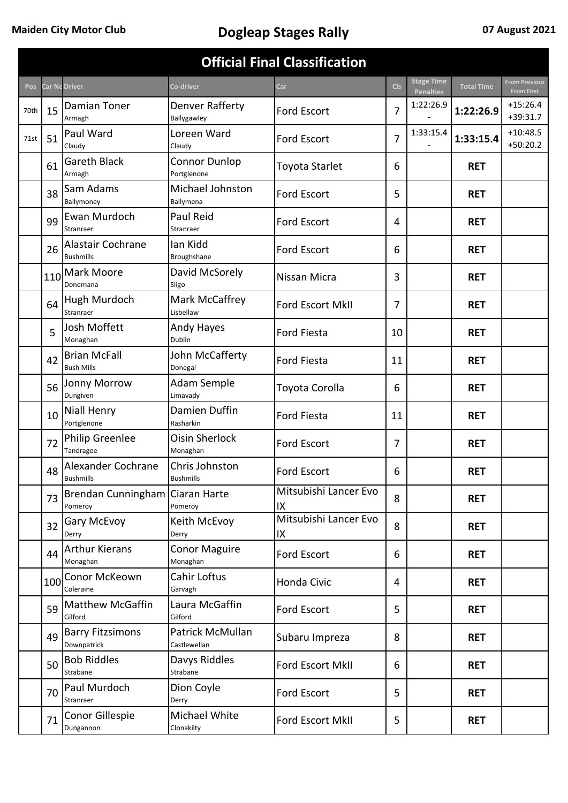| <b>Official Final Classification</b> |     |                                            |                                     |                             |            |                                       |                   |                                           |  |  |  |
|--------------------------------------|-----|--------------------------------------------|-------------------------------------|-----------------------------|------------|---------------------------------------|-------------------|-------------------------------------------|--|--|--|
| <b>Pos</b>                           |     | <b>Car Nc Driver</b>                       | Co-driver                           | Car                         | <b>Cls</b> | <b>Stage Time</b><br><b>Penalties</b> | <b>Total Time</b> | <b>From Previous</b><br><b>From First</b> |  |  |  |
| 70th                                 | 15  | Damian Toner<br>Armagh                     | Denver Rafferty<br>Ballygawley      | <b>Ford Escort</b>          | 7          | 1:22:26.9                             | 1:22:26.9         | $+15:26.4$<br>$+39:31.7$                  |  |  |  |
| 71st                                 | 51  | Paul Ward<br>Claudy                        | Loreen Ward<br>Claudy               | <b>Ford Escort</b>          | 7          | 1:33:15.4                             | 1:33:15.4         | $+10:48.5$<br>$+50:20.2$                  |  |  |  |
|                                      | 61  | <b>Gareth Black</b><br>Armagh              | <b>Connor Dunlop</b><br>Portglenone | Toyota Starlet              | 6          |                                       | <b>RET</b>        |                                           |  |  |  |
|                                      | 38  | Sam Adams<br>Ballymoney                    | Michael Johnston<br>Ballymena       | <b>Ford Escort</b>          | 5          |                                       | <b>RET</b>        |                                           |  |  |  |
|                                      | 99  | Ewan Murdoch<br>Stranraer                  | Paul Reid<br>Stranraer              | Ford Escort                 | 4          |                                       | <b>RET</b>        |                                           |  |  |  |
|                                      | 26  | Alastair Cochrane<br><b>Bushmills</b>      | lan Kidd<br>Broughshane             | <b>Ford Escort</b>          | 6          |                                       | <b>RET</b>        |                                           |  |  |  |
|                                      | 110 | Mark Moore<br>Donemana                     | David McSorely<br>Sligo             | Nissan Micra                | 3          |                                       | <b>RET</b>        |                                           |  |  |  |
|                                      | 64  | Hugh Murdoch<br>Stranraer                  | Mark McCaffrey<br>Lisbellaw         | <b>Ford Escort MkII</b>     | 7          |                                       | <b>RET</b>        |                                           |  |  |  |
|                                      | 5   | Josh Moffett<br>Monaghan                   | Andy Hayes<br><b>Dublin</b>         | <b>Ford Fiesta</b>          | 10         |                                       | <b>RET</b>        |                                           |  |  |  |
|                                      | 42  | <b>Brian McFall</b><br><b>Bush Mills</b>   | John McCafferty<br>Donegal          | <b>Ford Fiesta</b>          | 11         |                                       | <b>RET</b>        |                                           |  |  |  |
|                                      | 56  | <b>Jonny Morrow</b><br>Dungiven            | Adam Semple<br>Limavady             | Toyota Corolla              | 6          |                                       | <b>RET</b>        |                                           |  |  |  |
|                                      | 10  | <b>Niall Henry</b><br>Portglenone          | Damien Duffin<br>Rasharkin          | <b>Ford Fiesta</b>          | 11         |                                       | <b>RET</b>        |                                           |  |  |  |
|                                      | 72  | <b>Philip Greenlee</b><br>Tandragee        | <b>Oisin Sherlock</b><br>Monaghan   | <b>Ford Escort</b>          | 7          |                                       | <b>RET</b>        |                                           |  |  |  |
|                                      | 48  | Alexander Cochrane<br><b>Bushmills</b>     | Chris Johnston<br><b>Bushmills</b>  | <b>Ford Escort</b>          | 6          |                                       | <b>RET</b>        |                                           |  |  |  |
|                                      | 73  | Brendan Cunningham Ciaran Harte<br>Pomeroy | Pomeroy                             | Mitsubishi Lancer Evo<br>IX | 8          |                                       | <b>RET</b>        |                                           |  |  |  |
|                                      | 32  | <b>Gary McEvoy</b><br>Derry                | Keith McEvoy<br>Derry               | Mitsubishi Lancer Evo<br>IX | 8          |                                       | <b>RET</b>        |                                           |  |  |  |
|                                      | 44  | <b>Arthur Kierans</b><br>Monaghan          | <b>Conor Maguire</b><br>Monaghan    | <b>Ford Escort</b>          | 6          |                                       | <b>RET</b>        |                                           |  |  |  |
|                                      |     | 100 Conor McKeown<br>Coleraine             | Cahir Loftus<br>Garvagh             | Honda Civic                 | 4          |                                       | <b>RET</b>        |                                           |  |  |  |
|                                      | 59  | <b>Matthew McGaffin</b><br>Gilford         | Laura McGaffin<br>Gilford           | <b>Ford Escort</b>          | 5          |                                       | <b>RET</b>        |                                           |  |  |  |
|                                      | 49  | <b>Barry Fitzsimons</b><br>Downpatrick     | Patrick McMullan<br>Castlewellan    | Subaru Impreza              | 8          |                                       | <b>RET</b>        |                                           |  |  |  |
|                                      | 50  | <b>Bob Riddles</b><br>Strabane             | Davys Riddles<br>Strabane           | Ford Escort MkII            | 6          |                                       | <b>RET</b>        |                                           |  |  |  |
|                                      | 70  | Paul Murdoch<br>Stranraer                  | Dion Coyle<br>Derry                 | <b>Ford Escort</b>          | 5          |                                       | <b>RET</b>        |                                           |  |  |  |
|                                      | 71  | Conor Gillespie<br>Dungannon               | Michael White<br>Clonakilty         | Ford Escort MkII            | 5          |                                       | <b>RET</b>        |                                           |  |  |  |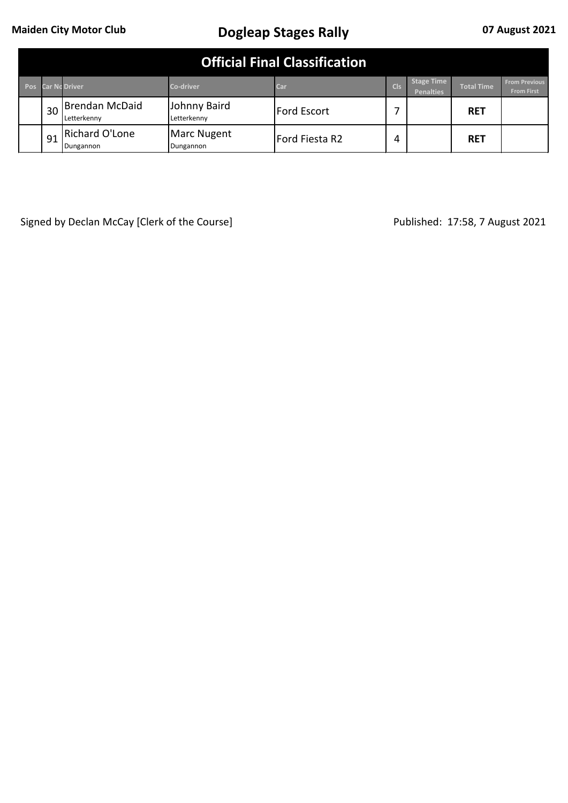|            | <b>Official Final Classification</b> |                               |                             |                    |            |                                       |                   |                                           |  |  |  |
|------------|--------------------------------------|-------------------------------|-----------------------------|--------------------|------------|---------------------------------------|-------------------|-------------------------------------------|--|--|--|
| <b>Pos</b> |                                      | <b>Car No Driver</b>          | <b>Co-driver</b>            | Car                | <b>Cls</b> | <b>Stage Time</b><br><b>Penalties</b> | <b>Total Time</b> | <b>From Previous</b><br><b>From First</b> |  |  |  |
|            | 30                                   | Brendan McDaid<br>Letterkennv | Johnny Baird<br>Letterkennv | <b>Ford Escort</b> |            |                                       | <b>RET</b>        |                                           |  |  |  |
|            | 91                                   | Richard O'Lone<br>Dungannon   | Marc Nugent<br>Dungannon    | Ford Fiesta R2     | 4          |                                       | <b>RET</b>        |                                           |  |  |  |

Signed by Declan McCay [Clerk of the Course] Signed by Declan McCay [Clerk of the Course] Published: 17:58, 7 August 2021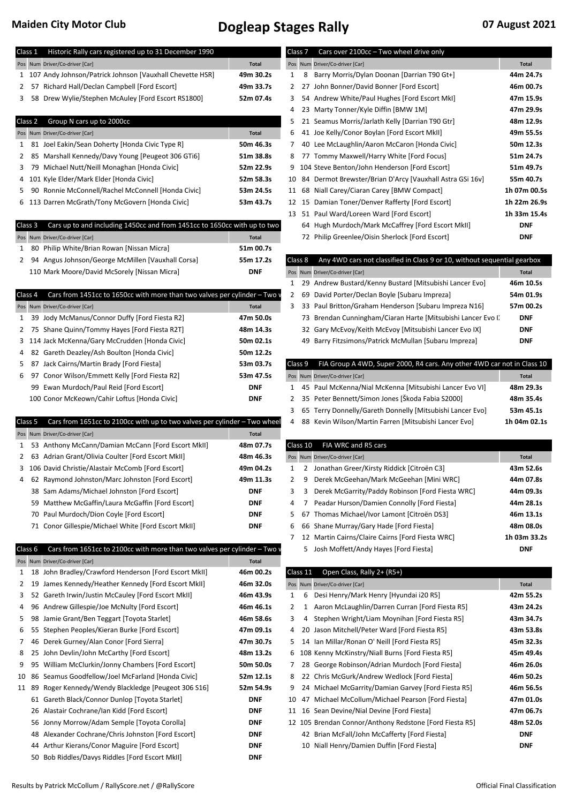| Class 1 |         | Historic Rally cars registered up to 31 December 1990                     |                          |          | Class 7            | Cars over 2100cc - Two wheel drive only                                  |              |
|---------|---------|---------------------------------------------------------------------------|--------------------------|----------|--------------------|--------------------------------------------------------------------------|--------------|
|         |         | Pos Num Driver/Co-driver [Car]                                            | <b>Total</b>             |          |                    | Pos Num Driver/Co-driver [Car]                                           | <b>Total</b> |
|         |         | 1 107 Andy Johnson/Patrick Johnson [Vauxhall Chevette HSR]                | 49m 30.2s                | 1        |                    | 8 Barry Morris/Dylan Doonan [Darrian T90 Gt+]                            | 44m 24.7s    |
| 2       |         | 57 Richard Hall/Declan Campbell [Ford Escort]                             | 49m 33.7s                | 2        |                    | 27 John Bonner/David Bonner [Ford Escort]                                | 46m 00.7s    |
| 3       |         | 58 Drew Wylie/Stephen McAuley [Ford Escort RS1800]                        | 52m 07.4s                | 3        |                    | 54 Andrew White/Paul Hughes [Ford Escort MkI]                            | 47m 15.9s    |
|         |         |                                                                           |                          | 4        |                    | 23 Marty Tonner/Kyle Diffin [BMW 1M]                                     | 47m 29.9s    |
|         | Class 2 | Group N cars up to 2000cc                                                 |                          | 5        |                    | 21 Seamus Morris/Jarlath Kelly [Darrian T90 Gtr]                         | 48m 12.9s    |
|         |         | Pos Num Driver/Co-driver [Car]                                            | <b>Total</b>             | 6        |                    | 41 Joe Kelly/Conor Boylan [Ford Escort MkII]                             | 49m 55.5s    |
| 1       |         | 81 Joel Eakin/Sean Doherty [Honda Civic Type R]                           | 50m 46.3s                | 7        |                    | 40 Lee McLaughlin/Aaron McCaron [Honda Civic]                            | 50m 12.3s    |
| 2       |         | 85 Marshall Kennedy/Davy Young [Peugeot 306 GTi6]                         | 51m 38.8s                | 8        |                    | 77 Tommy Maxwell/Harry White [Ford Focus]                                | 51m 24.7s    |
| 3       |         | 79 Michael Nutt/Neill Monaghan [Honda Civic]                              | 52m 22.9s                |          |                    | 9 104 Steve Benton/John Henderson [Ford Escort]                          | 51m 49.7s    |
| 4       |         | 101 Kyle Elder/Mark Elder [Honda Civic]                                   | 52m 58.3s                | 10       |                    | 84 Dermot Brewster/Brian D'Arcy [Vauxhall Astra GSi 16v]                 | 55m 40.7s    |
| 5       |         | 90 Ronnie McConnell/Rachel McConnell [Honda Civic]                        | 53m 24.5s                |          |                    | 11 68 Niall Carey/Ciaran Carey [BMW Compact]                             | 1h 07m 00.5s |
| 6       |         | 113 Darren McGrath/Tony McGovern [Honda Civic]                            | 53m 43.7s                |          |                    | 12 15 Damian Toner/Denver Rafferty [Ford Escort]                         | 1h 22m 26.9s |
|         |         |                                                                           |                          |          |                    | 13 51 Paul Ward/Loreen Ward [Ford Escort]                                | 1h 33m 15.4s |
|         | Class 3 | Cars up to and including 1450cc and from 1451cc to 1650cc with up to two  |                          |          |                    | 64 Hugh Murdoch/Mark McCaffrey [Ford Escort MkII]                        | <b>DNF</b>   |
|         |         | Pos Num Driver/Co-driver [Car]                                            | <b>Total</b>             |          |                    | 72 Philip Greenlee/Oisin Sherlock [Ford Escort]                          | <b>DNF</b>   |
| 1       |         | 80 Philip White/Brian Rowan [Nissan Micra]                                | 51m 00.7s                |          |                    |                                                                          |              |
| 2       |         | 94 Angus Johnson/George McMillen [Vauxhall Corsa]                         | 55m 17.2s                |          | Class <sub>8</sub> | Any 4WD cars not classified in Class 9 or 10, without sequential gearbox |              |
|         |         | 110 Mark Moore/David McSorely [Nissan Micra]                              | <b>DNF</b>               |          |                    | Pos Num Driver/Co-driver [Car]                                           | <b>Total</b> |
|         |         |                                                                           |                          | 1        |                    | 29 Andrew Bustard/Kenny Bustard [Mitsubishi Lancer Evo]                  | 46m 10.5s    |
|         | Class 4 | Cars from 1451cc to 1650cc with more than two valves per cylinder - Two v |                          | 2        |                    | 69 David Porter/Declan Boyle [Subaru Impreza]                            | 54m 01.9s    |
|         |         | Pos Num Driver/Co-driver [Car]                                            | <b>Total</b>             | 3        |                    | 33 Paul Britton/Graham Henderson [Subaru Impreza N16]                    | 57m 00.2s    |
| 1       |         | 39 Jody McManus/Connor Duffy [Ford Fiesta R2]                             | 47m 50.0s                |          |                    | 73 Brendan Cunningham/Ciaran Harte [Mitsubishi Lancer Evo I]             | <b>DNF</b>   |
| 2       |         | 75 Shane Quinn/Tommy Hayes [Ford Fiesta R2T]                              | 48m 14.3s                |          |                    | 32 Gary McEvoy/Keith McEvoy [Mitsubishi Lancer Evo IX]                   | <b>DNF</b>   |
| 3       |         | 114 Jack McKenna/Gary McCrudden [Honda Civic]                             | 50m 02.1s                |          | 49                 | Barry Fitzsimons/Patrick McMullan [Subaru Impreza]                       | <b>DNF</b>   |
| 4       |         | 82 Gareth Deazley/Ash Boulton [Honda Civic]                               | 50m 12.2s                |          |                    |                                                                          |              |
| 5       |         | 87 Jack Cairns/Martin Brady [Ford Fiesta]                                 | 53m 03.7s                |          | Class 9            | FIA Group A 4WD, Super 2000, R4 cars. Any other 4WD car not in Class 10  |              |
| 6       |         | 97 Conor Wilson/Emmett Kelly [Ford Fiesta R2]                             | 53m 47.5s                |          |                    | Pos Num Driver/Co-driver [Car]                                           | <b>Total</b> |
|         |         | 99 Ewan Murdoch/Paul Reid [Ford Escort]                                   | <b>DNF</b>               | 1        |                    | 45 Paul McKenna/Nial McKenna [Mitsubishi Lancer Evo VI]                  | 48m 29.3s    |
|         |         | 100 Conor McKeown/Cahir Loftus [Honda Civic]                              | <b>DNF</b>               | 2        |                    | 35 Peter Bennett/Simon Jones [Škoda Fabia S2000]                         | 48m 35.4s    |
|         |         |                                                                           |                          | 3        |                    | 65 Terry Donnelly/Gareth Donnelly [Mitsubishi Lancer Evo]                | 53m 45.1s    |
|         | Class 5 | Cars from 1651cc to 2100cc with up to two valves per cylinder - Two wheel |                          | 4        |                    | 88 Kevin Wilson/Martin Farren [Mitsubishi Lancer Evo]                    | 1h 04m 02.1s |
|         |         | Pos Num Driver/Co-driver [Car]                                            | <b>Total</b>             |          |                    |                                                                          |              |
| 1       |         | 53 Anthony McCann/Damian McCann [Ford Escort MkII]                        | 48m 07.7s                |          | Class 10           | FIA WRC and R5 cars                                                      |              |
| 2       |         | 63 Adrian Grant/Olivia Coulter [Ford Escort MkII]                         | 48m 46.3s                |          |                    | Pos Num Driver/Co-driver [Car]                                           | <b>Total</b> |
|         |         | 3 106 David Christie/Alastair McComb [Ford Escort]                        | 49m 04.2s                | 1        |                    | 2 Jonathan Greer/Kirsty Riddick [Citroën C3]                             | 43m 52.6s    |
| 4       |         | 62 Raymond Johnston/Marc Johnston [Ford Escort]                           | 49m 11.3s                | 2        | 9                  | Derek McGeehan/Mark McGeehan [Mini WRC]                                  | 44m 07.8s    |
|         |         | 38 Sam Adams/Michael Johnston [Ford Escort]                               | <b>DNF</b>               | 3        | 3                  | Derek McGarrity/Paddy Robinson [Ford Fiesta WRC]                         | 44m 09.3s    |
|         |         | 59 Matthew McGaffin/Laura McGaffin [Ford Escort]                          | <b>DNF</b>               | 4        | 7                  | Peadar Hurson/Damien Connolly [Ford Fiesta]                              | 44m 28.1s    |
|         |         | 70 Paul Murdoch/Dion Coyle [Ford Escort]                                  | <b>DNF</b>               | 5        | 67                 | Thomas Michael/Ivor Lamont [Citroën DS3]                                 | 46m 13.1s    |
|         |         | 71 Conor Gillespie/Michael White [Ford Escort MkII]                       | <b>DNF</b>               | 6        |                    | 66 Shane Murray/Gary Hade [Ford Fiesta]                                  | 48m 08.0s    |
|         |         |                                                                           |                          | 7        |                    | 12 Martin Cairns/Claire Cairns [Ford Fiesta WRC]                         | 1h 03m 33.2s |
|         | Class 6 | Cars from 1651cc to 2100cc with more than two valves per cylinder - Two v |                          |          |                    | 5 Josh Moffett/Andy Hayes [Ford Fiesta]                                  | <b>DNF</b>   |
|         |         | Pos Num Driver/Co-driver [Car]                                            | <b>Total</b>             |          |                    |                                                                          |              |
| 1       |         | 18 John Bradley/Crawford Henderson [Ford Escort MkII]                     | 46m 00.2s                | Class 11 |                    | Open Class, Rally 2+ (R5+)                                               |              |
| 2       |         | 19 James Kennedy/Heather Kennedy [Ford Escort MkII]                       | 46m 32.0s                |          |                    | Pos Num Driver/Co-driver [Car]                                           | <b>Total</b> |
| 3       |         | 52 Gareth Irwin/Justin McCauley [Ford Escort MkII]                        | 46m 43.9s                | 1        |                    | 6 Desi Henry/Mark Henry [Hyundai i20 R5]                                 | 42m 55.2s    |
| 4       |         | 96 Andrew Gillespie/Joe McNulty [Ford Escort]                             | 46m 46.1s                | 2        |                    | 1 Aaron McLaughlin/Darren Curran [Ford Fiesta R5]                        | 43m 24.2s    |
| 5       |         | 98 Jamie Grant/Ben Teggart [Toyota Starlet]                               | 46m 58.6s                | 3        | 4                  | Stephen Wright/Liam Moynihan [Ford Fiesta R5]                            | 43m 34.7s    |
| 6       |         | 55 Stephen Peoples/Kieran Burke [Ford Escort]                             | 47m 09.1s                | 4        |                    | 20 Jason Mitchell/Peter Ward [Ford Fiesta R5]                            | 43m 53.8s    |
| 7       |         | 46 Derek Gurney/Alan Conor [Ford Sierra]                                  | 47m 30.7s                | 5        |                    | 14 Ian Millar/Ronan O' Neill [Ford Fiesta R5]                            | 45m 32.3s    |
| 8       |         | 25 John Devlin/John McCarthy [Ford Escort]                                | 48m 13.2s                |          |                    | 6 108 Kenny McKinstry/Niall Burns [Ford Fiesta R5]                       | 45m 49.4s    |
| 9       |         | 95 William McClurkin/Jonny Chambers [Ford Escort]                         | 50m 50.0s                | 7        |                    | 28 George Robinson/Adrian Murdoch [Ford Fiesta]                          | 46m 26.0s    |
| 10      |         | 86 Seamus Goodfellow/Joel McFarland [Honda Civic]                         | 52m 12.1s                | 8        |                    | 22 Chris McGurk/Andrew Wedlock [Ford Fiesta]                             | 46m 50.2s    |
|         | 11 89   | Roger Kennedy/Wendy Blackledge [Peugeot 306 S16]                          | 52m 54.9s                | 9        |                    | 24 Michael McGarrity/Damian Garvey [Ford Fiesta R5]                      | 46m 56.5s    |
|         |         | 61 Gareth Black/Connor Dunlop [Toyota Starlet]                            | <b>DNF</b>               | 10       |                    | 47 Michael McCollum/Michael Pearson [Ford Fiesta]                        | 47m 01.0s    |
|         |         | 26 Alastair Cochrane/Ian Kidd [Ford Escort]                               | <b>DNF</b>               |          |                    | 11 16 Sean Devine/Nial Devine [Ford Fiesta]                              | 47m 06.7s    |
|         |         | 56 Jonny Morrow/Adam Semple [Toyota Corolla]                              | <b>DNF</b>               |          |                    | 12 105 Brendan Connor/Anthony Redstone [Ford Fiesta R5]                  | 48m 52.0s    |
|         |         | 48 Alexander Cochrane/Chris Johnston [Ford Escort]                        | <b>DNF</b>               |          |                    | 42 Brian McFall/John McCafferty [Ford Fiesta]                            | <b>DNF</b>   |
|         |         | Arthur Kierans/Conor Maguire [Ford Escort]                                |                          |          |                    | 10 Niall Henry/Damien Duffin [Ford Fiesta]                               | <b>DNF</b>   |
|         | 44      | 50 Bob Riddles/Davys Riddles [Ford Escort MkII]                           | <b>DNF</b><br><b>DNF</b> |          |                    |                                                                          |              |
|         |         |                                                                           |                          |          |                    |                                                                          |              |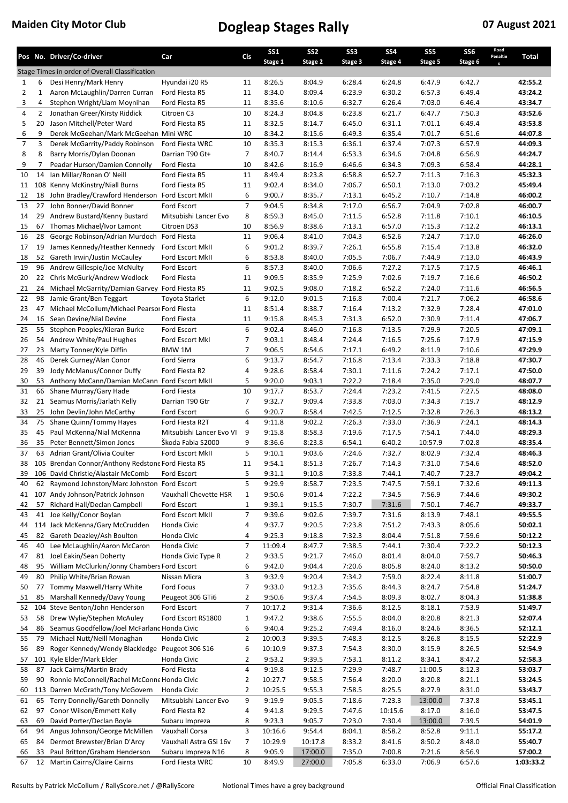|                |                | Pos No. Driver/Co-driver                                                      | Car                            | Cls                  | <b>SS1</b>         | SS <sub>2</sub>  | SS <sub>3</sub>  | <b>SS4</b>       | SS <sub>5</sub>  | SS <sub>6</sub>  | Road<br>Penaltie | Total              |
|----------------|----------------|-------------------------------------------------------------------------------|--------------------------------|----------------------|--------------------|------------------|------------------|------------------|------------------|------------------|------------------|--------------------|
|                |                | Stage Times in order of Overall Classification                                |                                |                      | Stage 1            | Stage 2          | Stage 3          | Stage 4          | Stage 5          | Stage 6          | S                |                    |
| $\mathbf{1}$   | 6              | Desi Henry/Mark Henry                                                         | Hyundai i20 R5                 | 11                   | 8:26.5             | 8:04.9           | 6:28.4           | 6:24.8           | 6:47.9           | 6:42.7           |                  | 42:55.2            |
| $\overline{2}$ | $\mathbf{1}$   | Aaron McLaughlin/Darren Curran                                                | Ford Fiesta R5                 | 11                   | 8:34.0             | 8:09.4           | 6:23.9           | 6:30.2           | 6:57.3           | 6:49.4           |                  | 43:24.2            |
| 3              | 4              | Stephen Wright/Liam Moynihan                                                  | Ford Fiesta R5                 | 11                   | 8:35.6             | 8:10.6           | 6:32.7           | 6:26.4           | 7:03.0           | 6:46.4           |                  | 43:34.7            |
| 4              | $\overline{2}$ | Jonathan Greer/Kirsty Riddick                                                 | Citroën C3                     | 10                   | 8:24.3             | 8:04.8           | 6:23.8           | 6:21.7           | 6:47.7           | 7:50.3           |                  | 43:52.6            |
| 5              | 20             | Jason Mitchell/Peter Ward                                                     | Ford Fiesta R5                 | 11                   | 8:32.5             | 8:14.7           | 6:45.0           | 6:31.1           | 7:01.1           | 6:49.4           |                  | 43:53.8            |
| 6              | 9              | Derek McGeehan/Mark McGeehan Mini WRC                                         |                                | 10                   | 8:34.2             | 8:15.6           | 6:49.3           | 6:35.4           | 7:01.7           | 6:51.6           |                  | 44:07.8            |
| $\overline{7}$ | 3              | Derek McGarrity/Paddy Robinson                                                | Ford Fiesta WRC                | 10                   | 8:35.3             | 8:15.3           | 6:36.1           | 6:37.4           | 7:07.3           | 6:57.9           |                  | 44:09.3            |
| 8<br>9         | 8<br>7         | Barry Morris/Dylan Doonan<br>Peadar Hurson/Damien Connolly                    | Darrian T90 Gt+<br>Ford Fiesta | $\overline{7}$<br>10 | 8:40.7<br>8:42.6   | 8:14.4<br>8:16.9 | 6:53.3<br>6:46.6 | 6:34.6<br>6:34.3 | 7:04.8<br>7:09.3 | 6:56.9<br>6:58.4 |                  | 44:24.7<br>44:28.1 |
| 10             | 14             | Ian Millar/Ronan O' Neill                                                     | Ford Fiesta R5                 | 11                   | 8:49.4             | 8:23.8           | 6:58.8           | 6:52.7           | 7:11.3           | 7:16.3           |                  | 45:32.3            |
| 11             |                | 108 Kenny McKinstry/Niall Burns                                               | Ford Fiesta R5                 | 11                   | 9:02.4             | 8:34.0           | 7:06.7           | 6:50.1           | 7:13.0           | 7:03.2           |                  | 45:49.4            |
| 12             | 18             | John Bradley/Crawford Henderson Ford Escort MkII                              |                                | 6                    | 9:00.7             | 8:35.7           | 7:13.1           | 6:45.2           | 7:10.7           | 7:14.8           |                  | 46:00.2            |
| 13             | 27             | John Bonner/David Bonner                                                      | Ford Escort                    | $\overline{7}$       | 9:04.5             | 8:34.8           | 7:17.0           | 6:56.7           | 7:04.9           | 7:02.8           |                  | 46:00.7            |
| 14             | 29             | Andrew Bustard/Kenny Bustard                                                  | Mitsubishi Lancer Evo          | 8                    | 8:59.3             | 8:45.0           | 7:11.5           | 6:52.8           | 7:11.8           | 7:10.1           |                  | 46:10.5            |
| 15             | 67             | Thomas Michael/Ivor Lamont                                                    | Citroën DS3                    | 10                   | 8:56.9             | 8:38.6           | 7:13.1           | 6:57.0           | 7:15.3           | 7:12.2           |                  | 46:13.1            |
| 16             | 28             | George Robinson/Adrian Murdoch Ford Fiesta                                    |                                | 11                   | 9:06.4             | 8:41.0           | 7:04.3           | 6:52.6           | 7:24.7           | 7:17.0           |                  | 46:26.0            |
| 17             | 19             | James Kennedy/Heather Kennedy                                                 | Ford Escort MkII               | 6                    | 9:01.2             | 8:39.7           | 7:26.1           | 6:55.8           | 7:15.4           | 7:13.8           |                  | 46:32.0            |
| 18             |                | 52 Gareth Irwin/Justin McCauley                                               | Ford Escort MkII               | 6                    | 8:53.8             | 8:40.0           | 7:05.5           | 7:06.7           | 7:44.9           | 7:13.0           |                  | 46:43.9            |
| 19             |                | 96 Andrew Gillespie/Joe McNulty                                               | Ford Escort                    | 6                    | 8:57.3             | 8:40.0           | 7:06.6           | 7:27.2           | 7:17.5           | 7:17.5           |                  | 46:46.1            |
| 20             | 22<br>24       | Chris McGurk/Andrew Wedlock<br>Michael McGarrity/Damian Garvey Ford Fiesta R5 | Ford Fiesta                    | 11<br>11             | 9:09.5<br>9:02.5   | 8:35.9<br>9:08.0 | 7:25.9<br>7:18.2 | 7:02.6<br>6:52.2 | 7:19.7           | 7:16.6<br>7:11.6 |                  | 46:50.2<br>46:56.5 |
| 21<br>22       | 98             | Jamie Grant/Ben Teggart                                                       | Toyota Starlet                 | 6                    | 9:12.0             | 9:01.5           | 7:16.8           | 7:00.4           | 7:24.0<br>7:21.7 | 7:06.2           |                  | 46:58.6            |
| 23             | 47             | Michael McCollum/Michael Pearsor Ford Fiesta                                  |                                | 11                   | 8:51.4             | 8:38.7           | 7:16.4           | 7:13.2           | 7:32.9           | 7:28.4           |                  | 47:01.0            |
| 24             |                | 16 Sean Devine/Nial Devine                                                    | Ford Fiesta                    | 11                   | 9:15.8             | 8:45.3           | 7:31.3           | 6:52.0           | 7:30.9           | 7:11.4           |                  | 47:06.7            |
| 25             | 55             | Stephen Peoples/Kieran Burke                                                  | Ford Escort                    | 6                    | 9:02.4             | 8:46.0           | 7:16.8           | 7:13.5           | 7:29.9           | 7:20.5           |                  | 47:09.1            |
| 26             |                | 54 Andrew White/Paul Hughes                                                   | Ford Escort MkI                | $\overline{7}$       | 9:03.1             | 8:48.4           | 7:24.4           | 7:16.5           | 7:25.6           | 7:17.9           |                  | 47:15.9            |
| 27             | 23             | Marty Tonner/Kyle Diffin                                                      | BMW 1M                         | $\overline{7}$       | 9:06.5             | 8:54.6           | 7:17.1           | 6:49.2           | 8:11.9           | 7:10.6           |                  | 47:29.9            |
| 28             | 46             | Derek Gurney/Alan Conor                                                       | <b>Ford Sierra</b>             | 6                    | 9:13.7             | 8:54.7           | 7:16.8           | 7:13.4           | 7:33.3           | 7:18.8           |                  | 47:30.7            |
| 29             | 39             | Jody McManus/Connor Duffy                                                     | Ford Fiesta R2                 | 4                    | 9:28.6             | 8:58.4           | 7:30.1           | 7:11.6           | 7:24.2           | 7:17.1           |                  | 47:50.0            |
| 30             | 53             | Anthony McCann/Damian McCann Ford Escort MkII                                 |                                | 5                    | 9:20.0             | 9:03.1           | 7:22.2           | 7:18.4           | 7:35.0           | 7:29.0           |                  | 48:07.7            |
| 31             |                | 66 Shane Murray/Gary Hade                                                     | Ford Fiesta                    | 10                   | 9:17.7             | 8:53.7           | 7:24.4           | 7:23.2           | 7:41.5           | 7:27.5           |                  | 48:08.0            |
| 32             | 21             | Seamus Morris/Jarlath Kelly                                                   | Darrian T90 Gtr                | $\overline{7}$<br>6  | 9:32.7             | 9:09.4           | 7:33.8           | 7:03.0           | 7:34.3           | 7:19.7           |                  | 48:12.9            |
| 33<br>34       |                | 25 John Devlin/John McCarthy<br>75 Shane Quinn/Tommy Hayes                    | Ford Escort<br>Ford Fiesta R2T | 4                    | 9:20.7<br>9:11.8   | 8:58.4<br>9:02.2 | 7:42.5<br>7:26.3 | 7:12.5<br>7:33.0 | 7:32.8<br>7:36.9 | 7:26.3<br>7:24.1 |                  | 48:13.2<br>48:14.3 |
| 35             | 45             | Paul McKenna/Nial McKenna                                                     | Mitsubishi Lancer Evo VI       | 9                    | 9:15.8             | 8:58.3           | 7:19.6           | 7:17.5           | 7:54.1           | 7:44.0           |                  | 48:29.3            |
| 36             | 35             | Peter Bennett/Simon Jones                                                     | Škoda Fabia S2000              | 9                    | 8:36.6             | 8:23.8           | 6:54.1           | 6:40.2           | 10:57.9          | 7:02.8           |                  | 48:35.4            |
| 37             |                | 63 Adrian Grant/Olivia Coulter                                                | Ford Escort MkII               | 5                    | 9:10.1             | 9:03.6           | 7:24.6           | 7:32.7           | 8:02.9           | 7:32.4           |                  | 48:46.3            |
| 38             |                | 105 Brendan Connor/Anthony Redstone Ford Fiesta R5                            |                                | 11                   | 9:54.1             | 8:51.3           | 7:26.7           | 7:14.3           | 7:31.0           | 7:54.6           |                  | 48:52.0            |
| 39             |                | 106 David Christie/Alastair McComb                                            | Ford Escort                    | 5                    | 9:31.1             | 9:10.8           | 7:33.8           | 7:44.1           | 7:40.7           | 7:23.7           |                  | 49:04.2            |
| 40             |                | 62 Raymond Johnston/Marc Johnston Ford Escort                                 |                                | 5                    | 9:29.9             | 8:58.7           | 7:23.5           | 7:47.5           | 7:59.1           | 7:32.6           |                  | 49:11.3            |
| 41             |                | 107 Andy Johnson/Patrick Johnson                                              | Vauxhall Chevette HSR          | $\mathbf 1$          | 9:50.6             | 9:01.4           | 7:22.2           | 7:34.5           | 7:56.9           | 7:44.6           |                  | 49:30.2            |
| 42             | 57             | Richard Hall/Declan Campbell                                                  | Ford Escort                    | $\mathbf 1$          | 9:39.1             | 9:15.5           | 7:30.7           | 7:31.6           | 7:50.1           | 7:46.7           |                  | 49:33.7            |
| 43             |                | 41 Joe Kelly/Conor Boylan                                                     | Ford Escort MkII               | $\overline{7}$       | 9:39.6             | 9:02.6           | 7:39.7           | 7:31.6           | 8:13.9           | 7:48.1           |                  | 49:55.5            |
| 44             |                | 114 Jack McKenna/Gary McCrudden                                               | Honda Civic                    | 4                    | 9:37.7             | 9:20.5           | 7:23.8           | 7:51.2           | 7:43.3           | 8:05.6           |                  | 50:02.1            |
| 45<br>46       | 82<br>40       | Gareth Deazley/Ash Boulton<br>Lee McLaughlin/Aaron McCaron                    | Honda Civic<br>Honda Civic     | 4<br>$\overline{7}$  | 9:25.3<br>11:09.4  | 9:18.8<br>8:47.7 | 7:32.3<br>7:38.5 | 8:04.4<br>7:44.1 | 7:51.8<br>7:30.4 | 7:59.6<br>7:22.2 |                  | 50:12.2<br>50:12.3 |
| 47             | 81             | Joel Eakin/Sean Doherty                                                       | Honda Civic Type R             | $\overline{2}$       | 9:33.5             | 9:21.7           | 7:46.0           | 8:01.4           | 8:04.0           | 7:59.7           |                  | 50:46.3            |
| 48             |                | 95 William McClurkin/Jonny Chambers Ford Escort                               |                                | 6                    | 9:42.0             | 9:04.4           | 7:20.6           | 8:05.8           | 8:24.0           | 8:13.2           |                  | 50:50.0            |
| 49             | 80             | Philip White/Brian Rowan                                                      | Nissan Micra                   | 3                    | 9:32.9             | 9:20.4           | 7:34.2           | 7:59.0           | 8:22.4           | 8:11.8           |                  | 51:00.7            |
| 50             | 77             | Tommy Maxwell/Harry White                                                     | Ford Focus                     | 7                    | 9:33.0             | 9:12.3           | 7:35.6           | 8:44.3           | 8:24.7           | 7:54.8           |                  | 51:24.7            |
| 51             | 85             | Marshall Kennedy/Davy Young                                                   | Peugeot 306 GTi6               | $\overline{2}$       | 9:50.6             | 9:37.4           | 7:54.5           | 8:09.3           | 8:02.7           | 8:04.3           |                  | 51:38.8            |
| 52             |                | 104 Steve Benton/John Henderson                                               | Ford Escort                    | $\overline{7}$       | 10:17.2            | 9:31.4           | 7:36.6           | 8:12.5           | 8:18.1           | 7:53.9           |                  | 51:49.7            |
| 53             |                | 58 Drew Wylie/Stephen McAuley                                                 | Ford Escort RS1800             | $\mathbf{1}$         | 9:47.2             | 9:38.6           | 7:55.5           | 8:04.0           | 8:20.8           | 8:21.3           |                  | 52:07.4            |
| 54             |                | 86 Seamus Goodfellow/Joel McFarlanc Honda Civic                               |                                | 6                    | 9:40.4             | 9:25.2           | 7:49.4           | 8:16.0           | 8:24.6           | 8:36.5           |                  | 52:12.1            |
| 55             | 79             | Michael Nutt/Neill Monaghan                                                   | Honda Civic                    | $\overline{2}$       | 10:00.3            | 9:39.5           | 7:48.3           | 8:12.5           | 8:26.8           | 8:15.5           |                  | 52:22.9            |
| 56             | 89             | Roger Kennedy/Wendy Blackledge Peugeot 306 S16                                |                                | 6                    | 10:10.9            | 9:37.3           | 7:54.3           | 8:30.0           | 8:15.9           | 8:26.5           |                  | 52:54.9            |
| 57             |                | 101 Kyle Elder/Mark Elder                                                     | Honda Civic                    | 2                    | 9:53.2             | 9:39.5           | 7:53.1           | 8:11.2           | 8:34.1           | 8:47.2           |                  | 52:58.3            |
| 58             | 87             | Jack Cairns/Martin Brady<br>Ronnie McConnell/Rachel McConne Honda Civic       | Ford Fiesta                    | 4                    | 9:19.8             | 9:12.5           | 7:29.9           | 7:48.7           | 11:00.5          | 8:12.3           |                  | 53:03.7            |
| 59<br>60       | 90             | 113 Darren McGrath/Tony McGovern                                              | Honda Civic                    | 2<br>$\overline{2}$  | 10:27.7<br>10:25.5 | 9:58.5<br>9:55.3 | 7:56.4<br>7:58.5 | 8:20.0<br>8:25.5 | 8:20.8<br>8:27.9 | 8:21.1<br>8:31.0 |                  | 53:24.5<br>53:43.7 |
| 61             |                | 65 Terry Donnelly/Gareth Donnelly                                             | Mitsubishi Lancer Evo          | 9                    | 9:19.9             | 9:05.5           | 7:18.6           | 7:23.3           | 13:00.0          | 7:37.8           |                  | 53:45.1            |
| 62             | 97             | Conor Wilson/Emmett Kelly                                                     | Ford Fiesta R2                 | 4                    | 9:41.8             | 9:29.5           | 7:47.6           | 10:15.6          | 8:17.0           | 8:16.0           |                  | 53:47.5            |
| 63             | 69             | David Porter/Declan Boyle                                                     | Subaru Impreza                 | 8                    | 9:23.3             | 9:05.7           | 7:23.0           | 7:30.4           | 13:00.0          | 7:39.5           |                  | 54:01.9            |
| 64             | 94             | Angus Johnson/George McMillen                                                 | Vauxhall Corsa                 | 3                    | 10:16.6            | 9:54.4           | 8:04.1           | 8:58.2           | 8:52.8           | 9:11.1           |                  | 55:17.2            |
| 65             | 84             | Dermot Brewster/Brian D'Arcy                                                  | Vauxhall Astra GSi 16v         | 7                    | 10:29.9            | 10:17.8          | 8:33.2           | 8:41.6           | 8:50.2           | 8:48.0           |                  | 55:40.7            |
| 66             | 33             | Paul Britton/Graham Henderson                                                 | Subaru Impreza N16             | 8                    | 9:05.9             | 17:00.0          | 7:35.0           | 7:00.8           | 7:21.6           | 8:56.9           |                  | 57:00.2            |
| 67             |                | 12 Martin Cairns/Claire Cairns                                                | Ford Fiesta WRC                | 10                   | 8:49.9             | 27:00.0          | 7:05.8           | 6:33.0           | 7:06.9           | 6:57.6           |                  | 1:03:33.2          |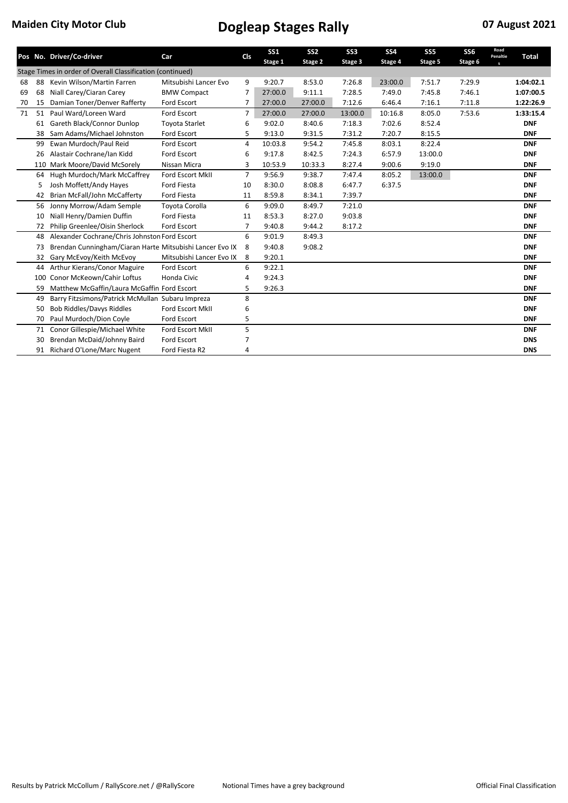|    |     | Pos No. Driver/Co-driver                                   | Car                      | Cls            | <b>SS1</b><br>Stage 1 | SS <sub>2</sub><br>Stage 2 | SS <sub>3</sub><br>Stage 3 | <b>SS4</b><br>Stage 4 | SS <sub>5</sub><br>Stage 5 | SS <sub>6</sub><br>Stage 6 | Road<br>Penaltie | <b>Total</b> |
|----|-----|------------------------------------------------------------|--------------------------|----------------|-----------------------|----------------------------|----------------------------|-----------------------|----------------------------|----------------------------|------------------|--------------|
|    |     | Stage Times in order of Overall Classification (continued) |                          |                |                       |                            |                            |                       |                            |                            | $\mathbf{s}$     |              |
| 68 | 88  | Kevin Wilson/Martin Farren                                 | Mitsubishi Lancer Evo    | 9              | 9:20.7                | 8:53.0                     | 7:26.8                     | 23:00.0               | 7:51.7                     | 7:29.9                     |                  | 1:04:02.1    |
| 69 | 68  | Niall Carey/Ciaran Carey                                   | <b>BMW Compact</b>       | 7              | 27:00.0               | 9:11.1                     | 7:28.5                     | 7:49.0                | 7:45.8                     | 7:46.1                     |                  | 1:07:00.5    |
| 70 | 15  | Damian Toner/Denver Rafferty                               | Ford Escort              | 7              | 27:00.0               | 27:00.0                    | 7:12.6                     | 6:46.4                | 7:16.1                     | 7:11.8                     |                  | 1:22:26.9    |
| 71 | 51  | Paul Ward/Loreen Ward                                      | <b>Ford Escort</b>       | 7              | 27:00.0               | 27:00.0                    | 13:00.0                    | 10:16.8               | 8:05.0                     | 7:53.6                     |                  | 1:33:15.4    |
|    | 61  | Gareth Black/Connor Dunlop                                 | <b>Toyota Starlet</b>    | 6              | 9:02.0                | 8:40.6                     | 7:18.3                     | 7:02.6                | 8:52.4                     |                            |                  | <b>DNF</b>   |
|    | 38  | Sam Adams/Michael Johnston                                 | Ford Escort              | 5              | 9:13.0                | 9:31.5                     | 7:31.2                     | 7:20.7                | 8:15.5                     |                            |                  | <b>DNF</b>   |
|    | 99  | Ewan Murdoch/Paul Reid                                     | <b>Ford Escort</b>       | 4              | 10:03.8               | 9:54.2                     | 7:45.8                     | 8:03.1                | 8:22.4                     |                            |                  | <b>DNF</b>   |
|    | 26  | Alastair Cochrane/Ian Kidd                                 | Ford Escort              | 6              | 9:17.8                | 8:42.5                     | 7:24.3                     | 6:57.9                | 13:00.0                    |                            |                  | <b>DNF</b>   |
|    |     | 110 Mark Moore/David McSorely                              | Nissan Micra             | 3              | 10:53.9               | 10:33.3                    | 8:27.4                     | 9:00.6                | 9:19.0                     |                            |                  | <b>DNF</b>   |
|    | 64  | Hugh Murdoch/Mark McCaffrey                                | <b>Ford Escort MkII</b>  | $\overline{7}$ | 9:56.9                | 9:38.7                     | 7:47.4                     | 8:05.2                | 13:00.0                    |                            |                  | <b>DNF</b>   |
|    | 5   | Josh Moffett/Andy Hayes                                    | <b>Ford Fiesta</b>       | 10             | 8:30.0                | 8:08.8                     | 6:47.7                     | 6:37.5                |                            |                            |                  | <b>DNF</b>   |
|    | 42  | Brian McFall/John McCafferty                               | Ford Fiesta              | 11             | 8:59.8                | 8:34.1                     | 7:39.7                     |                       |                            |                            |                  | <b>DNF</b>   |
|    | 56  | Jonny Morrow/Adam Semple                                   | Toyota Corolla           | 6              | 9:09.0                | 8:49.7                     | 7:21.0                     |                       |                            |                            |                  | <b>DNF</b>   |
|    | 10  | Niall Henry/Damien Duffin                                  | Ford Fiesta              | 11             | 8:53.3                | 8:27.0                     | 9:03.8                     |                       |                            |                            |                  | <b>DNF</b>   |
|    | 72  | Philip Greenlee/Oisin Sherlock                             | Ford Escort              | 7              | 9:40.8                | 9:44.2                     | 8:17.2                     |                       |                            |                            |                  | <b>DNF</b>   |
|    | 48  | Alexander Cochrane/Chris Johnston Ford Escort              |                          | 6              | 9:01.9                | 8:49.3                     |                            |                       |                            |                            |                  | <b>DNF</b>   |
|    | 73  | Brendan Cunningham/Ciaran Harte Mitsubishi Lancer Evo IX   |                          | 8              | 9:40.8                | 9:08.2                     |                            |                       |                            |                            |                  | <b>DNF</b>   |
|    | 32  | Gary McEvoy/Keith McEvoy                                   | Mitsubishi Lancer Evo IX | 8              | 9:20.1                |                            |                            |                       |                            |                            |                  | <b>DNF</b>   |
|    | 44  | Arthur Kierans/Conor Maguire                               | Ford Escort              | 6              | 9:22.1                |                            |                            |                       |                            |                            |                  | <b>DNF</b>   |
|    | 100 | Conor McKeown/Cahir Loftus                                 | Honda Civic              | 4              | 9:24.3                |                            |                            |                       |                            |                            |                  | <b>DNF</b>   |
|    | 59  | Matthew McGaffin/Laura McGaffin Ford Escort                |                          | 5              | 9:26.3                |                            |                            |                       |                            |                            |                  | <b>DNF</b>   |
|    | 49  | Barry Fitzsimons/Patrick McMullan Subaru Impreza           |                          | 8              |                       |                            |                            |                       |                            |                            |                  | <b>DNF</b>   |
|    | 50  | <b>Bob Riddles/Davys Riddles</b>                           | Ford Escort MkII         | 6              |                       |                            |                            |                       |                            |                            |                  | <b>DNF</b>   |
|    | 70  | Paul Murdoch/Dion Coyle                                    | <b>Ford Escort</b>       | 5              |                       |                            |                            |                       |                            |                            |                  | <b>DNF</b>   |
|    | 71  | Conor Gillespie/Michael White                              | Ford Escort MkII         | 5              |                       |                            |                            |                       |                            |                            |                  | <b>DNF</b>   |
|    | 30  | Brendan McDaid/Johnny Baird                                | Ford Escort              | 7              |                       |                            |                            |                       |                            |                            |                  | <b>DNS</b>   |
|    | 91  | Richard O'Lone/Marc Nugent                                 | Ford Fiesta R2           | 4              |                       |                            |                            |                       |                            |                            |                  | <b>DNS</b>   |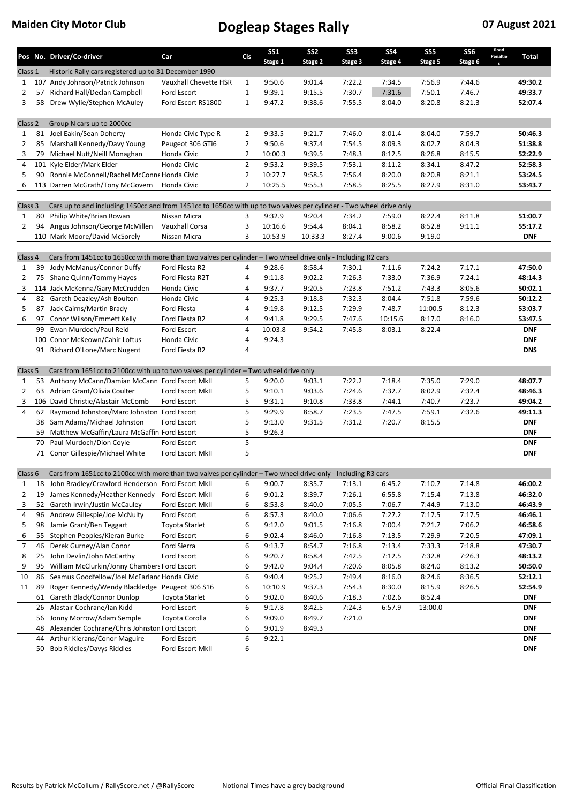|                |          | Pos No. Driver/Co-driver                                                                                             | Car                                  | <b>Cls</b>     | SS <sub>1</sub><br>Stage 1 | SS <sub>2</sub><br>Stage 2 | SS <sub>3</sub><br>Stage 3 | SS <sub>4</sub><br>Stage 4 | SS <sub>5</sub><br>Stage 5 | <b>SS6</b><br>Stage 6 | Road<br>Penaltie | Total              |
|----------------|----------|----------------------------------------------------------------------------------------------------------------------|--------------------------------------|----------------|----------------------------|----------------------------|----------------------------|----------------------------|----------------------------|-----------------------|------------------|--------------------|
| Class 1        |          | Historic Rally cars registered up to 31 December 1990                                                                |                                      |                |                            |                            |                            |                            |                            |                       |                  |                    |
| $\mathbf{1}$   | 107      | Andy Johnson/Patrick Johnson                                                                                         | Vauxhall Chevette HSR                | $\mathbf{1}$   | 9:50.6                     | 9:01.4                     | 7:22.2                     | 7:34.5                     | 7:56.9                     | 7:44.6                |                  | 49:30.2            |
| 2              | 57       | Richard Hall/Declan Campbell                                                                                         | Ford Escort                          | $\mathbf{1}$   | 9:39.1                     | 9:15.5                     | 7:30.7                     | 7:31.6                     | 7:50.1                     | 7:46.7                |                  | 49:33.7            |
| 3              | 58       | Drew Wylie/Stephen McAuley                                                                                           | Ford Escort RS1800                   | $\mathbf{1}$   | 9:47.2                     | 9:38.6                     | 7:55.5                     | 8:04.0                     | 8:20.8                     | 8:21.3                |                  | 52:07.4            |
|                |          |                                                                                                                      |                                      |                |                            |                            |                            |                            |                            |                       |                  |                    |
| Class 2        |          | Group N cars up to 2000cc                                                                                            |                                      |                |                            |                            |                            |                            |                            |                       |                  |                    |
| $\mathbf{1}$   | 81       | Joel Eakin/Sean Doherty                                                                                              | Honda Civic Type R                   | $\overline{2}$ | 9:33.5                     | 9:21.7                     | 7:46.0                     | 8:01.4                     | 8:04.0                     | 7:59.7                |                  | 50:46.3            |
| $\overline{2}$ | 85       | Marshall Kennedy/Davy Young                                                                                          | Peugeot 306 GTi6                     | $\overline{2}$ | 9:50.6                     | 9:37.4                     | 7:54.5                     | 8:09.3                     | 8:02.7                     | 8:04.3                |                  | 51:38.8            |
| 3              | 79       | Michael Nutt/Neill Monaghan                                                                                          | Honda Civic                          | 2              | 10:00.3                    | 9:39.5                     | 7:48.3                     | 8:12.5                     | 8:26.8                     | 8:15.5                |                  | 52:22.9            |
| 4              |          | 101 Kyle Elder/Mark Elder                                                                                            | Honda Civic                          | $\overline{2}$ | 9:53.2                     | 9:39.5                     | 7:53.1                     | 8:11.2                     | 8:34.1                     | 8:47.2                |                  | 52:58.3            |
| 5              | 90       | Ronnie McConnell/Rachel McConne Honda Civic                                                                          |                                      | $\overline{2}$ | 10:27.7                    | 9:58.5                     | 7:56.4                     | 8:20.0                     | 8:20.8                     | 8:21.1                |                  | 53:24.5            |
| 6              |          | 113 Darren McGrath/Tony McGovern                                                                                     | Honda Civic                          | $\overline{2}$ | 10:25.5                    | 9:55.3                     | 7:58.5                     | 8:25.5                     | 8:27.9                     | 8:31.0                |                  | 53:43.7            |
| Class 3        |          | Cars up to and including 1450cc and from 1451cc to 1650cc with up to two valves per cylinder - Two wheel drive only  |                                      |                |                            |                            |                            |                            |                            |                       |                  |                    |
| $\mathbf{1}$   | 80       | Philip White/Brian Rowan                                                                                             | Nissan Micra                         | 3              | 9:32.9                     | 9:20.4                     | 7:34.2                     | 7:59.0                     | 8:22.4                     | 8:11.8                |                  | 51:00.7            |
| $\overline{2}$ | 94       | Angus Johnson/George McMillen                                                                                        | Vauxhall Corsa                       | 3              | 10:16.6                    | 9:54.4                     | 8:04.1                     | 8:58.2                     | 8:52.8                     | 9:11.1                |                  | 55:17.2            |
|                |          | 110 Mark Moore/David McSorely                                                                                        | Nissan Micra                         | 3              | 10:53.9                    | 10:33.3                    | 8:27.4                     | 9:00.6                     | 9:19.0                     |                       |                  | <b>DNF</b>         |
|                |          |                                                                                                                      |                                      |                |                            |                            |                            |                            |                            |                       |                  |                    |
| Class 4        |          | Cars from 1451cc to 1650cc with more than two valves per cylinder – Two wheel drive only - Including R2 cars         |                                      |                |                            |                            |                            |                            |                            |                       |                  |                    |
| $\mathbf{1}$   | 39       | Jody McManus/Connor Duffy                                                                                            | Ford Fiesta R2                       | 4              | 9:28.6                     | 8:58.4                     | 7:30.1                     | 7:11.6                     | 7:24.2                     | 7:17.1                |                  | 47:50.0            |
| $\overline{2}$ |          | 75 Shane Quinn/Tommy Hayes                                                                                           | Ford Fiesta R2T                      | 4              | 9:11.8                     | 9:02.2                     | 7:26.3                     | 7:33.0                     | 7:36.9                     | 7:24.1                |                  | 48:14.3            |
| 3              |          | 114 Jack McKenna/Gary McCrudden                                                                                      | Honda Civic                          | 4              | 9:37.7                     | 9:20.5                     | 7:23.8                     | 7:51.2                     | 7:43.3                     | 8:05.6                |                  | 50:02.1            |
| 4              |          | 82 Gareth Deazley/Ash Boulton                                                                                        | Honda Civic                          | 4              | 9:25.3                     | 9:18.8                     | 7:32.3                     | 8:04.4                     | 7:51.8                     | 7:59.6                |                  | 50:12.2            |
| 5              | 87       | Jack Cairns/Martin Brady                                                                                             | Ford Fiesta                          | 4              | 9:19.8                     | 9:12.5                     | 7:29.9                     | 7:48.7                     | 11:00.5                    | 8:12.3                |                  | 53:03.7            |
| 6              | 97       | Conor Wilson/Emmett Kelly                                                                                            | Ford Fiesta R2                       | 4              | 9:41.8                     | 9:29.5                     | 7:47.6                     | 10:15.6                    | 8:17.0                     | 8:16.0                |                  | 53:47.5            |
|                | 99       | Ewan Murdoch/Paul Reid                                                                                               | Ford Escort                          | 4              | 10:03.8                    | 9:54.2                     | 7:45.8                     | 8:03.1                     | 8:22.4                     |                       |                  | <b>DNF</b>         |
|                |          | 100 Conor McKeown/Cahir Loftus                                                                                       | Honda Civic                          | 4              | 9:24.3                     |                            |                            |                            |                            |                       |                  | <b>DNF</b>         |
|                |          | 91 Richard O'Lone/Marc Nugent                                                                                        | Ford Fiesta R2                       | 4              |                            |                            |                            |                            |                            |                       |                  | <b>DNS</b>         |
|                |          |                                                                                                                      |                                      |                |                            |                            |                            |                            |                            |                       |                  |                    |
| Class 5        |          | Cars from 1651cc to 2100cc with up to two valves per cylinder - Two wheel drive only                                 |                                      |                |                            |                            |                            |                            |                            |                       |                  |                    |
| $\mathbf{1}$   | 53       | Anthony McCann/Damian McCann Ford Escort MkII                                                                        |                                      | 5              | 9:20.0                     | 9:03.1                     | 7:22.2                     | 7:18.4                     | 7:35.0                     | 7:29.0                |                  | 48:07.7            |
| $\overline{2}$ | 63       | Adrian Grant/Olivia Coulter                                                                                          | Ford Escort MkII                     | 5              | 9:10.1                     | 9:03.6                     | 7:24.6                     | 7:32.7                     | 8:02.9                     | 7:32.4                |                  | 48:46.3            |
| 3              |          | 106 David Christie/Alastair McComb                                                                                   | Ford Escort                          | 5              | 9:31.1                     | 9:10.8                     | 7:33.8                     | 7:44.1                     | 7:40.7                     | 7:23.7                |                  | 49:04.2            |
| 4              |          | 62 Raymond Johnston/Marc Johnston Ford Escort                                                                        |                                      | 5              | 9:29.9                     | 8:58.7                     | 7:23.5                     | 7:47.5                     | 7:59.1                     | 7:32.6                |                  | 49:11.3            |
|                |          | 38 Sam Adams/Michael Johnston                                                                                        | Ford Escort                          | 5              | 9:13.0                     | 9:31.5                     | 7:31.2                     | 7:20.7                     | 8:15.5                     |                       |                  | <b>DNF</b>         |
|                | 59       | Matthew McGaffin/Laura McGaffin Ford Escort                                                                          |                                      | 5              | 9:26.3                     |                            |                            |                            |                            |                       |                  | <b>DNF</b>         |
|                | 70       | Paul Murdoch/Dion Coyle                                                                                              | Ford Escort                          | 5              |                            |                            |                            |                            |                            |                       |                  | <b>DNF</b>         |
|                |          | 71 Conor Gillespie/Michael White                                                                                     | Ford Escort MkII                     | 5              |                            |                            |                            |                            |                            |                       |                  | <b>DNF</b>         |
|                |          |                                                                                                                      |                                      |                |                            |                            |                            |                            |                            |                       |                  |                    |
|                |          | Class 6 Cars from 1651cc to 2100cc with more than two valves per cylinder - Two wheel drive only - Including R3 cars |                                      |                |                            |                            |                            |                            |                            |                       |                  |                    |
| $\mathbf{1}$   | 18       | John Bradley/Crawford Henderson Ford Escort MkII                                                                     |                                      | 6              | 9:00.7                     | 8:35.7                     | 7:13.1                     | 6:45.2                     | 7:10.7                     | 7:14.8                |                  | 46:00.2            |
| $\overline{2}$ | 19       | James Kennedy/Heather Kennedy                                                                                        | Ford Escort MkII                     | 6              | 9:01.2                     | 8:39.7                     | 7:26.1                     | 6:55.8                     | 7:15.4                     | 7:13.8                |                  | 46:32.0            |
| 3              | 52       | Gareth Irwin/Justin McCauley                                                                                         | Ford Escort MkII                     | 6              | 8:53.8                     | 8:40.0                     | 7:05.5                     | 7:06.7                     | 7:44.9                     | 7:13.0                |                  | 46:43.9            |
| 4              | 96       | Andrew Gillespie/Joe McNulty                                                                                         | Ford Escort                          | 6              | 8:57.3                     | 8:40.0                     | 7:06.6                     | 7:27.2                     | 7:17.5                     | 7:17.5                |                  | 46:46.1            |
| 5<br>6         | 98<br>55 | Jamie Grant/Ben Teggart<br>Stephen Peoples/Kieran Burke                                                              | <b>Toyota Starlet</b><br>Ford Escort | 6<br>6         | 9:12.0<br>9:02.4           | 9:01.5<br>8:46.0           | 7:16.8<br>7:16.8           | 7:00.4<br>7:13.5           | 7:21.7<br>7:29.9           | 7:06.2<br>7:20.5      |                  | 46:58.6<br>47:09.1 |
| $\overline{7}$ |          |                                                                                                                      |                                      | 6              |                            |                            |                            |                            |                            |                       |                  | 47:30.7            |
|                | 46       | Derek Gurney/Alan Conor<br>John Devlin/John McCarthy                                                                 | Ford Sierra                          |                | 9:13.7                     | 8:54.7                     | 7:16.8                     | 7:13.4                     | 7:33.3                     | 7:18.8                |                  |                    |
| 8              | 25       | William McClurkin/Jonny Chambers Ford Escort                                                                         | Ford Escort                          | 6              | 9:20.7                     | 8:58.4                     | 7:42.5                     | 7:12.5                     | 7:32.8                     | 7:26.3                |                  | 48:13.2            |
| 9<br>10        | 95<br>86 | Seamus Goodfellow/Joel McFarlanc Honda Civic                                                                         |                                      | 6<br>6         | 9:42.0<br>9:40.4           | 9:04.4<br>9:25.2           | 7:20.6<br>7:49.4           | 8:05.8<br>8:16.0           | 8:24.0<br>8:24.6           | 8:13.2<br>8:36.5      |                  | 50:50.0<br>52:12.1 |
| 11             | 89       | Roger Kennedy/Wendy Blackledge Peugeot 306 S16                                                                       |                                      | 6              | 10:10.9                    | 9:37.3                     | 7:54.3                     | 8:30.0                     | 8:15.9                     | 8:26.5                |                  | 52:54.9            |
|                | 61       | Gareth Black/Connor Dunlop                                                                                           | Toyota Starlet                       | 6              | 9:02.0                     | 8:40.6                     | 7:18.3                     | 7:02.6                     | 8:52.4                     |                       |                  | <b>DNF</b>         |
|                | 26       | Alastair Cochrane/Ian Kidd                                                                                           | Ford Escort                          | 6              | 9:17.8                     | 8:42.5                     | 7:24.3                     | 6:57.9                     | 13:00.0                    |                       |                  | <b>DNF</b>         |
|                | 56       | Jonny Morrow/Adam Semple                                                                                             | Toyota Corolla                       | 6              | 9:09.0                     | 8:49.7                     | 7:21.0                     |                            |                            |                       |                  | <b>DNF</b>         |
|                | 48       | Alexander Cochrane/Chris Johnston Ford Escort                                                                        |                                      | 6              | 9:01.9                     | 8:49.3                     |                            |                            |                            |                       |                  | <b>DNF</b>         |
|                | 44       | Arthur Kierans/Conor Maguire                                                                                         | Ford Escort                          | 6              | 9:22.1                     |                            |                            |                            |                            |                       |                  | <b>DNF</b>         |
|                | 50       | <b>Bob Riddles/Davys Riddles</b>                                                                                     | Ford Escort MkII                     | 6              |                            |                            |                            |                            |                            |                       |                  | <b>DNF</b>         |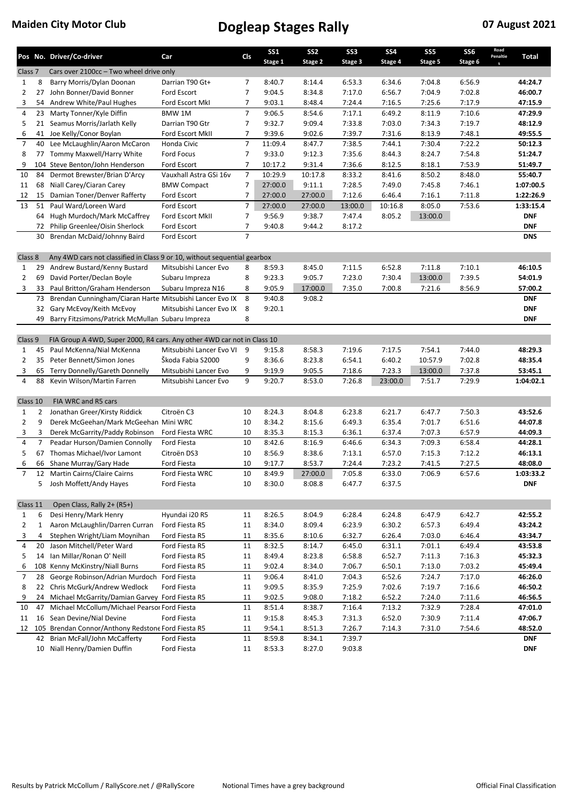|                     |                  | Pos No. Driver/Co-driver                                                       | Car                        | Cls            | SS <sub>1</sub><br>Stage 1 | SS <sub>2</sub><br>Stage 2 | SS <sub>3</sub><br>Stage 3 | SS <sub>4</sub><br>Stage 4 | SS <sub>5</sub><br>Stage 5 | SS <sub>6</sub><br>Stage 6 | Road<br>Penaltie<br>$\mathbf{s}$ | Total                 |
|---------------------|------------------|--------------------------------------------------------------------------------|----------------------------|----------------|----------------------------|----------------------------|----------------------------|----------------------------|----------------------------|----------------------------|----------------------------------|-----------------------|
| Class <sub>7</sub>  |                  | Cars over 2100cc - Two wheel drive only                                        |                            |                |                            |                            |                            |                            |                            |                            |                                  |                       |
| 1                   | 8                | Barry Morris/Dylan Doonan                                                      | Darrian T90 Gt+            | 7              | 8:40.7                     | 8:14.4                     | 6:53.3                     | 6:34.6                     | 7:04.8                     | 6:56.9                     |                                  | 44:24.7               |
| $\overline{2}$      | 27               | John Bonner/David Bonner                                                       | Ford Escort                | $\overline{7}$ | 9:04.5                     | 8:34.8                     | 7:17.0                     | 6:56.7                     | 7:04.9                     | 7:02.8                     |                                  | 46:00.7               |
| 3                   | 54               | Andrew White/Paul Hughes                                                       | Ford Escort MkI            | 7              | 9:03.1                     | 8:48.4                     | 7:24.4                     | 7:16.5                     | 7:25.6                     | 7:17.9                     |                                  | 47:15.9               |
| 4                   | 23               | Marty Tonner/Kyle Diffin                                                       | BMW 1M                     | $\overline{7}$ | 9:06.5                     | 8:54.6                     | 7:17.1                     | 6:49.2                     | 8:11.9                     | 7:10.6                     |                                  | 47:29.9               |
| 5                   |                  | 21 Seamus Morris/Jarlath Kelly                                                 | Darrian T90 Gtr            | 7              | 9:32.7                     | 9:09.4                     | 7:33.8                     | 7:03.0                     | 7:34.3                     | 7:19.7                     |                                  | 48:12.9               |
| 6                   | 41               | Joe Kelly/Conor Boylan                                                         | Ford Escort MkII           | $\overline{7}$ | 9:39.6                     | 9:02.6                     | 7:39.7                     | 7:31.6                     | 8:13.9                     | 7:48.1                     |                                  | 49:55.5               |
| $\overline{7}$      | 40               | Lee McLaughlin/Aaron McCaron                                                   | Honda Civic                | $\overline{7}$ | 11:09.4                    | 8:47.7                     | 7:38.5                     | 7:44.1                     | 7:30.4                     | 7:22.2                     |                                  | 50:12.3               |
| 8                   | 77               | Tommy Maxwell/Harry White                                                      | <b>Ford Focus</b>          | $\overline{7}$ | 9:33.0                     | 9:12.3                     | 7:35.6                     | 8:44.3                     | 8:24.7                     | 7:54.8                     |                                  | 51:24.7               |
| 9                   |                  | 104 Steve Benton/John Henderson                                                | Ford Escort                | $\overline{7}$ | 10:17.2                    | 9:31.4                     | 7:36.6                     | 8:12.5                     | 8:18.1                     | 7:53.9                     |                                  | 51:49.7               |
| 10                  | 84               | Dermot Brewster/Brian D'Arcy                                                   | Vauxhall Astra GSi 16v     | $\overline{7}$ | 10:29.9                    | 10:17.8                    | 8:33.2                     | 8:41.6                     | 8:50.2                     | 8:48.0                     |                                  | 55:40.7               |
| 11                  | 68               | Niall Carey/Ciaran Carey                                                       | <b>BMW Compact</b>         | $\overline{7}$ | 27:00.0                    | 9:11.1                     | 7:28.5                     | 7:49.0                     | 7:45.8                     | 7:46.1                     |                                  | 1:07:00.5             |
| 12                  | 15               | Damian Toner/Denver Rafferty                                                   | Ford Escort                | 7              | 27:00.0                    | 27:00.0                    | 7:12.6                     | 6:46.4                     | 7:16.1                     | 7:11.8                     |                                  | 1:22:26.9             |
| 13                  | 51               | Paul Ward/Loreen Ward                                                          | Ford Escort                | $\overline{7}$ | 27:00.0                    | 27:00.0                    | 13:00.0                    | 10:16.8                    | 8:05.0                     | 7:53.6                     |                                  | 1:33:15.4             |
|                     |                  | 64 Hugh Murdoch/Mark McCaffrey                                                 | Ford Escort MkII           | $\overline{7}$ | 9:56.9                     | 9:38.7                     | 7:47.4                     | 8:05.2                     | 13:00.0                    |                            |                                  | <b>DNF</b>            |
|                     | 72               | Philip Greenlee/Oisin Sherlock                                                 | Ford Escort                | $\overline{7}$ | 9:40.8                     | 9:44.2                     | 8:17.2                     |                            |                            |                            |                                  | <b>DNF</b>            |
|                     | 30               | Brendan McDaid/Johnny Baird                                                    | Ford Escort                | $\overline{7}$ |                            |                            |                            |                            |                            |                            |                                  | <b>DNS</b>            |
| Class 8             |                  | Any 4WD cars not classified in Class 9 or 10, without sequential gearbox       |                            |                |                            |                            |                            |                            |                            |                            |                                  |                       |
| $\mathbf{1}$        | 29               | Andrew Bustard/Kenny Bustard                                                   | Mitsubishi Lancer Evo      | 8              | 8:59.3                     | 8:45.0                     | 7:11.5                     | 6:52.8                     | 7:11.8                     | 7:10.1                     |                                  | 46:10.5               |
| $\overline{2}$      | 69               | David Porter/Declan Boyle                                                      | Subaru Impreza             | 8              | 9:23.3                     | 9:05.7                     | 7:23.0                     | 7:30.4                     | 13:00.0                    | 7:39.5                     |                                  | 54:01.9               |
| 3                   | 33               | Paul Britton/Graham Henderson                                                  | Subaru Impreza N16         | 8              | 9:05.9                     | 17:00.0                    | 7:35.0                     | 7:00.8                     | 7:21.6                     | 8:56.9                     |                                  | 57:00.2               |
|                     | 73               | Brendan Cunningham/Ciaran Harte Mitsubishi Lancer Evo IX                       |                            | 8              | 9:40.8                     | 9:08.2                     |                            |                            |                            |                            |                                  | <b>DNF</b>            |
|                     | 32               | Gary McEvoy/Keith McEvoy                                                       | Mitsubishi Lancer Evo IX   | 8              | 9:20.1                     |                            |                            |                            |                            |                            |                                  | <b>DNF</b>            |
|                     | 49               | Barry Fitzsimons/Patrick McMullan Subaru Impreza                               |                            | 8              |                            |                            |                            |                            |                            |                            |                                  | DNF                   |
|                     |                  |                                                                                |                            |                |                            |                            |                            |                            |                            |                            |                                  |                       |
| Class 9             |                  | FIA Group A 4WD, Super 2000, R4 cars. Any other 4WD car not in Class 10        |                            |                |                            |                            |                            |                            |                            |                            |                                  |                       |
| 1                   | 45               | Paul McKenna/Nial McKenna                                                      | Mitsubishi Lancer Evo VI 9 |                | 9:15.8                     | 8:58.3                     | 7:19.6                     | 7:17.5                     | 7:54.1                     | 7:44.0                     |                                  | 48:29.3               |
| 2                   | 35               | Peter Bennett/Simon Jones                                                      | Škoda Fabia S2000          | 9              | 8:36.6                     | 8:23.8                     | 6:54.1                     | 6:40.2                     | 10:57.9                    | 7:02.8                     |                                  | 48:35.4               |
| 3                   | 65               | Terry Donnelly/Gareth Donnelly                                                 | Mitsubishi Lancer Evo      | 9              | 9:19.9                     | 9:05.5                     | 7:18.6                     | 7:23.3                     | 13:00.0                    | 7:37.8                     |                                  | 53:45.1               |
| 4                   | 88               | Kevin Wilson/Martin Farren                                                     | Mitsubishi Lancer Evo      | 9              | 9:20.7                     | 8:53.0                     | 7:26.8                     | 23:00.0                    | 7:51.7                     | 7:29.9                     |                                  | 1:04:02.1             |
|                     |                  |                                                                                |                            |                |                            |                            |                            |                            |                            |                            |                                  |                       |
| Class 10            |                  | FIA WRC and R5 cars                                                            |                            |                |                            |                            |                            |                            |                            |                            |                                  |                       |
| $\mathbf{1}$        | 2                | Jonathan Greer/Kirsty Riddick                                                  | Citroën C3                 | 10             | 8:24.3                     | 8:04.8                     | 6:23.8                     | 6:21.7                     | 6:47.7                     | 7:50.3                     |                                  | 43:52.6               |
| $\overline{2}$      | 9                | Derek McGeehan/Mark McGeehan Mini WRC                                          |                            | 10             | 8:34.2                     | 8:15.6                     | 6:49.3                     | 6:35.4                     | 7:01.7                     | 6:51.6                     |                                  | 44:07.8               |
| 3                   | 3                | Derek McGarrity/Paddy Robinson                                                 | Ford Fiesta WRC            | 10             | 8:35.3                     | 8:15.3                     | 6:36.1                     | 6:37.4                     | 7:07.3                     | 6:57.9                     |                                  | 44:09.3               |
| 4                   | 7                | Peadar Hurson/Damien Connolly                                                  | Ford Fiesta                | 10             | 8:42.6                     | 8:16.9                     | 6:46.6                     | 6:34.3                     | 7:09.3                     | 6:58.4                     |                                  | 44:28.1               |
| 5                   | 67               | Thomas Michael/Ivor Lamont                                                     | Citroën DS3                | 10             | 8:56.9                     | 8:38.6                     | 7:13.1                     | 6:57.0                     | 7:15.3                     | 7:12.2                     |                                  | 46:13.1               |
| 6                   |                  | 66 Shane Murray/Gary Hade                                                      | Ford Fiesta                | 10             | 9:17.7                     | 8:53.7                     | 7:24.4                     | 7:23.2                     | 7:41.5                     | 7:27.5                     |                                  | 48:08.0               |
| $\overline{7}$      | 12               | Martin Cairns/Claire Cairns                                                    | Ford Fiesta WRC            | 10             | 8:49.9                     | 27:00.0                    | 7:05.8                     | 6:33.0                     | 7:06.9                     | 6:57.6                     |                                  | 1:03:33.2             |
|                     |                  | 5 Josh Moffett/Andy Hayes                                                      | Ford Fiesta                | 10             | 8:30.0                     | 8:08.8                     | 6:47.7                     | 6:37.5                     |                            |                            |                                  | <b>DNF</b>            |
|                     |                  |                                                                                |                            |                |                            |                            |                            |                            |                            |                            |                                  |                       |
| Class 11            |                  | Open Class, Rally 2+ (R5+)                                                     |                            |                |                            |                            |                            |                            |                            |                            |                                  |                       |
| 1                   | 6                | Desi Henry/Mark Henry                                                          | Hyundai i20 R5             | 11             | 8:26.5                     | 8:04.9                     | 6:28.4                     | 6:24.8                     | 6:47.9                     | 6:42.7                     |                                  | 42:55.2               |
| 2                   | $\mathbf 1$<br>4 | Aaron McLaughlin/Darren Curran<br>Stephen Wright/Liam Moynihan                 | Ford Fiesta R5             | 11             | 8:34.0                     | 8:09.4                     | 6:23.9                     | 6:30.2                     | 6:57.3                     | 6:49.4                     |                                  | 43:24.2               |
| 3                   |                  |                                                                                | Ford Fiesta R5             | 11             | 8:35.6                     | 8:10.6                     | 6:32.7                     | 6:26.4                     | 7:03.0                     | 6:46.4                     |                                  | 43:34.7               |
| 4                   | 20               | Jason Mitchell/Peter Ward<br>Ian Millar/Ronan O' Neill                         | Ford Fiesta R5             | 11             | 8:32.5                     | 8:14.7                     | 6:45.0                     | 6:31.1                     | 7:01.1                     | 6:49.4                     |                                  | 43:53.8               |
| 5                   | 14               |                                                                                | Ford Fiesta R5             | 11             | 8:49.4                     | 8:23.8                     | 6:58.8                     | 6:52.7                     | 7:11.3                     | 7:16.3                     |                                  | 45:32.3               |
| 6<br>$\overline{7}$ | 108              | Kenny McKinstry/Niall Burns<br>George Robinson/Adrian Murdoch Ford Fiesta      | Ford Fiesta R5             | 11             | 9:02.4                     | 8:34.0                     | 7:06.7                     | 6:50.1                     | 7:13.0                     | 7:03.2<br>7:17.0           |                                  | 45:49.4<br>46:26.0    |
|                     | 28               |                                                                                |                            | 11             | 9:06.4                     | 8:41.0                     | 7:04.3                     | 6:52.6                     | 7:24.7                     |                            |                                  |                       |
| 8                   | 22               | Chris McGurk/Andrew Wedlock<br>Michael McGarrity/Damian Garvey Ford Fiesta R5  | Ford Fiesta                | 11             | 9:09.5                     | 8:35.9                     | 7:25.9                     | 7:02.6                     | 7:19.7                     | 7:16.6                     |                                  | 46:50.2               |
| 9                   | 24               |                                                                                |                            | 11             | 9:02.5                     | 9:08.0                     | 7:18.2                     | 6:52.2                     | 7:24.0                     | 7:11.6                     |                                  | 46:56.5<br>47:01.0    |
| 10                  | 47               | Michael McCollum/Michael Pearsor Ford Fiesta                                   |                            | 11             | 8:51.4                     | 8:38.7                     | 7:16.4                     | 7:13.2                     | 7:32.9                     | 7:28.4                     |                                  | 47:06.7               |
| 11                  | 16               | Sean Devine/Nial Devine                                                        | Ford Fiesta                | 11             | 9:15.8                     | 8:45.3                     | 7:31.3                     | 6:52.0                     | 7:30.9                     | 7:11.4                     |                                  |                       |
| 12                  | 105<br>42        | Brendan Connor/Anthony Redstone Ford Fiesta R5<br>Brian McFall/John McCafferty | Ford Fiesta                | 11<br>11       | 9:54.1                     | 8:51.3<br>8:34.1           | 7:26.7<br>7:39.7           | 7:14.3                     | 7:31.0                     | 7:54.6                     |                                  | 48:52.0<br><b>DNF</b> |
|                     |                  | 10 Niall Henry/Damien Duffin                                                   | Ford Fiesta                | 11             | 8:59.8<br>8:53.3           | 8:27.0                     | 9:03.8                     |                            |                            |                            |                                  | <b>DNF</b>            |
|                     |                  |                                                                                |                            |                |                            |                            |                            |                            |                            |                            |                                  |                       |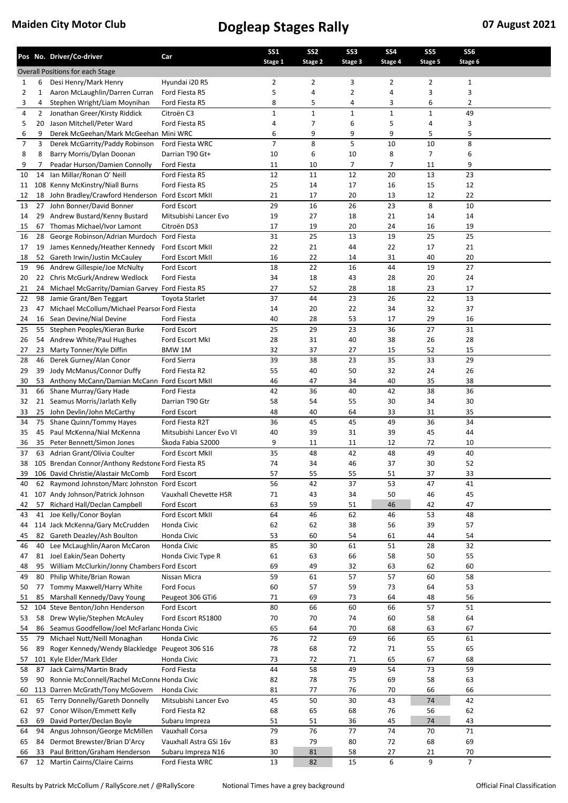|          |                | Pos No. Driver/Co-driver                                       | Car                                  | <b>SS1</b>     | SS <sub>2</sub> | SS <sub>3</sub> | SS <sub>4</sub> | SS <sub>5</sub> | SS <sub>6</sub><br>Stage 6 |  |
|----------|----------------|----------------------------------------------------------------|--------------------------------------|----------------|-----------------|-----------------|-----------------|-----------------|----------------------------|--|
|          |                | <b>Overall Positions for each Stage</b>                        |                                      | Stage 1        | Stage 2         | Stage 3         | Stage 4         | Stage 5         |                            |  |
| 1        | 6              | Desi Henry/Mark Henry                                          | Hyundai i20 R5                       | $\overline{2}$ | 2               | 3               | $\overline{2}$  | 2               | 1                          |  |
| 2        | 1              | Aaron McLaughlin/Darren Curran                                 | Ford Fiesta R5                       | 5              | 4               | 2               | 4               | 3               | 3                          |  |
| 3        | 4              | Stephen Wright/Liam Moynihan                                   | Ford Fiesta R5                       | 8              | 5               | 4               | 3               | 6               | 2                          |  |
| 4        | $\overline{2}$ | Jonathan Greer/Kirsty Riddick                                  | Citroën C3                           | $\mathbf{1}$   | $\mathbf 1$     | $\mathbf{1}$    | $\mathbf 1$     | 1               | 49                         |  |
| 5        | 20             | Jason Mitchell/Peter Ward                                      | Ford Fiesta R5                       | 4              | 7               | 6               | 5               | 4               | 3                          |  |
| 6        | 9              | Derek McGeehan/Mark McGeehan Mini WRC                          |                                      | 6              | 9               | 9               | 9               | 5               | 5                          |  |
| 7        | 3              | Derek McGarrity/Paddy Robinson                                 | Ford Fiesta WRC                      | $\overline{7}$ | 8               | 5               | 10              | 10              | 8                          |  |
| 8        | 8              | Barry Morris/Dylan Doonan                                      | Darrian T90 Gt+                      | 10             | 6               | 10              | 8               | 7               | 6                          |  |
| 9        | 7              | Peadar Hurson/Damien Connolly                                  | Ford Fiesta                          | 11             | 10              | 7               | 7               | 11              | 9                          |  |
| 10       | 14             | Ian Millar/Ronan O' Neill                                      | Ford Fiesta R5                       | 12             | 11              | 12              | 20              | 13              | 23                         |  |
| 11       |                | 108 Kenny McKinstry/Niall Burns                                | Ford Fiesta R5                       | 25             | 14              | 17              | 16              | 15              | 12                         |  |
| 12       | 18             | John Bradley/Crawford Henderson                                | Ford Escort MkII                     | 21             | 17              | 20              | 13              | 12              | 22                         |  |
| 13       | 27<br>29       | John Bonner/David Bonner<br>Andrew Bustard/Kenny Bustard       | Ford Escort<br>Mitsubishi Lancer Evo | 29<br>19       | 16<br>27        | 26<br>18        | 23<br>21        | 8<br>14         | 10<br>14                   |  |
| 14<br>15 | 67             | Thomas Michael/Ivor Lamont                                     | Citroën DS3                          | 17             | 19              | 20              | 24              | 16              | 19                         |  |
| 16       | 28             | George Robinson/Adrian Murdoch Ford Fiesta                     |                                      | 31             | 25              | 13              | 19              | 25              | 25                         |  |
| 17       | 19             | James Kennedy/Heather Kennedy                                  | <b>Ford Escort MkII</b>              | 22             | 21              | 44              | 22              | 17              | 21                         |  |
| 18       |                | 52 Gareth Irwin/Justin McCauley                                | Ford Escort MkII                     | 16             | 22              | 14              | 31              | 40              | 20                         |  |
| 19       |                | 96 Andrew Gillespie/Joe McNulty                                | Ford Escort                          | 18             | 22              | 16              | 44              | 19              | 27                         |  |
| 20       |                | 22 Chris McGurk/Andrew Wedlock                                 | <b>Ford Fiesta</b>                   | 34             | 18              | 43              | 28              | 20              | 24                         |  |
| 21       | 24             | Michael McGarrity/Damian Garvey Ford Fiesta R5                 |                                      | 27             | 52              | 28              | 18              | 23              | 17                         |  |
| 22       | 98             | Jamie Grant/Ben Teggart                                        | <b>Toyota Starlet</b>                | 37             | 44              | 23              | 26              | 22              | 13                         |  |
| 23       | 47             | Michael McCollum/Michael Pearsor Ford Fiesta                   |                                      | 14             | 20              | 22              | 34              | 32              | 37                         |  |
| 24       | 16             | Sean Devine/Nial Devine                                        | Ford Fiesta                          | 40             | 28              | 53              | 17              | 29              | 16                         |  |
| 25       | 55             | Stephen Peoples/Kieran Burke                                   | Ford Escort                          | 25             | 29              | 23              | 36              | 27              | 31                         |  |
| 26       | 54             | Andrew White/Paul Hughes                                       | Ford Escort MkI                      | 28             | 31              | 40              | 38              | 26              | 28                         |  |
| 27       | 23             | Marty Tonner/Kyle Diffin                                       | BMW 1M                               | 32             | 37              | 27              | 15              | 52              | 15                         |  |
| 28       | 46             | Derek Gurney/Alan Conor                                        | <b>Ford Sierra</b>                   | 39             | 38              | 23              | 35              | 33              | 29                         |  |
| 29       | 39             | Jody McManus/Connor Duffy                                      | Ford Fiesta R2                       | 55             | 40              | 50              | 32              | 24              | 26                         |  |
| 30       |                | 53 Anthony McCann/Damian McCann Ford Escort MkII               |                                      | 46             | 47              | 34              | 40              | 35              | 38                         |  |
| 31       |                | 66 Shane Murray/Gary Hade                                      | Ford Fiesta                          | 42             | 36              | 40              | 42              | 38              | 36                         |  |
| 32       | 21             | Seamus Morris/Jarlath Kelly                                    | Darrian T90 Gtr                      | 58             | 54              | 55<br>64        | 30              | 34              | 30                         |  |
| 33<br>34 |                | 25 John Devlin/John McCarthy<br>75 Shane Quinn/Tommy Hayes     | Ford Escort<br>Ford Fiesta R2T       | 48<br>36       | 40<br>45        | 45              | 33<br>49        | 31<br>36        | 35<br>34                   |  |
| 35       | 45             | Paul McKenna/Nial McKenna                                      | Mitsubishi Lancer Evo VI             | 40             | 39              | 31              | 39              | 45              | 44                         |  |
| 36       | 35             | Peter Bennett/Simon Jones                                      | Škoda Fabia S2000                    | 9              | 11              | 11              | 12              | 72              | 10                         |  |
| 37       |                | 63 Adrian Grant/Olivia Coulter                                 | Ford Escort MkII                     | 35             | 48              | 42              | 48              | 49              | 40                         |  |
| 38       |                | 105 Brendan Connor/Anthony Redstone Ford Fiesta R5             |                                      | 74             | 34              | 46              | 37              | 30              | 52                         |  |
| 39       |                | 106 David Christie/Alastair McComb                             | Ford Escort                          | 57             | 55              | 55              | 51              | 37              | 33                         |  |
| 40       |                | 62 Raymond Johnston/Marc Johnston Ford Escort                  |                                      | 56             | 42              | 37              | 53              | 47              | 41                         |  |
| 41       | 107            | Andy Johnson/Patrick Johnson                                   | Vauxhall Chevette HSR                | 71             | 43              | 34              | 50              | 46              | 45                         |  |
| 42       | 57             | Richard Hall/Declan Campbell                                   | Ford Escort                          | 63             | 59              | 51              | 46              | 42              | 47                         |  |
| 43       |                | 41 Joe Kelly/Conor Boylan                                      | Ford Escort MkII                     | 64             | 46              | 62              | 46              | 53              | 48                         |  |
| 44       |                | 114 Jack McKenna/Gary McCrudden                                | Honda Civic                          | 62             | 62              | 38              | 56              | 39              | 57                         |  |
| 45       | 82             | Gareth Deazley/Ash Boulton                                     | Honda Civic                          | 53             | 60              | 54              | 61              | 44              | 54                         |  |
| 46       | 40             | Lee McLaughlin/Aaron McCaron                                   | Honda Civic                          | 85             | 30              | 61              | 51              | 28              | 32                         |  |
| 47       | 81             | Joel Eakin/Sean Doherty                                        | Honda Civic Type R                   | 61             | 63              | 66              | 58              | 50              | 55                         |  |
| 48       |                | 95 William McClurkin/Jonny Chambers Ford Escort                |                                      | 69             | 49              | 32              | 63              | 62              | 60                         |  |
| 49       | 80             | Philip White/Brian Rowan                                       | Nissan Micra                         | 59             | 61              | 57              | 57              | 60              | 58                         |  |
| 50       | 77<br>85       | Tommy Maxwell/Harry White                                      | Ford Focus<br>Peugeot 306 GTi6       | 60             | 57<br>69        | 59<br>73        | 73              | 64              | 53<br>56                   |  |
| 51<br>52 |                | Marshall Kennedy/Davy Young<br>104 Steve Benton/John Henderson | Ford Escort                          | 71<br>80       | 66              | 60              | 64<br>66        | 48<br>57        | 51                         |  |
| 53       |                | 58 Drew Wylie/Stephen McAuley                                  | Ford Escort RS1800                   | 70             | 70              | 74              | 60              | 58              | 64                         |  |
| 54       |                | 86 Seamus Goodfellow/Joel McFarlanc Honda Civic                |                                      | 65             | 64              | 70              | 68              | 63              | 67                         |  |
| 55       | 79             | Michael Nutt/Neill Monaghan                                    | Honda Civic                          | 76             | 72              | 69              | 66              | 65              | 61                         |  |
| 56       | 89             | Roger Kennedy/Wendy Blackledge Peugeot 306 S16                 |                                      | 78             | 68              | 72              | 71              | 55              | 65                         |  |
| 57       |                | 101 Kyle Elder/Mark Elder                                      | Honda Civic                          | 73             | 72              | 71              | 65              | 67              | 68                         |  |
| 58       | 87             | Jack Cairns/Martin Brady                                       | Ford Fiesta                          | 44             | 58              | 49              | 54              | 73              | 59                         |  |
| 59       | 90             | Ronnie McConnell/Rachel McConne Honda Civic                    |                                      | 82             | 78              | 75              | 69              | 58              | 63                         |  |
| 60       |                | 113 Darren McGrath/Tony McGovern                               | Honda Civic                          | 81             | 77              | 76              | 70              | 66              | 66                         |  |
| 61       |                | 65 Terry Donnelly/Gareth Donnelly                              | Mitsubishi Lancer Evo                | 45             | 50              | 30              | 43              | 74              | 42                         |  |
| 62       | 97             | Conor Wilson/Emmett Kelly                                      | Ford Fiesta R2                       | 68             | 65              | 68              | 76              | 56              | 62                         |  |
| 63       | 69             | David Porter/Declan Boyle                                      | Subaru Impreza                       | 51             | 51              | 36              | 45              | 74              | 43                         |  |
| 64       | 94             | Angus Johnson/George McMillen                                  | Vauxhall Corsa                       | 79             | 76              | 77              | 74              | 70              | 71                         |  |
| 65       | 84             | Dermot Brewster/Brian D'Arcy                                   | Vauxhall Astra GSi 16v               | 83             | 79              | 80              | 72              | 68              | 69                         |  |
| 66       | 33             | Paul Britton/Graham Henderson                                  | Subaru Impreza N16                   | 30             | 81              | 58              | 27              | 21              | 70                         |  |
| 67       |                | 12 Martin Cairns/Claire Cairns                                 | Ford Fiesta WRC                      | 13             | 82              | 15              | 6               | 9               | $\overline{7}$             |  |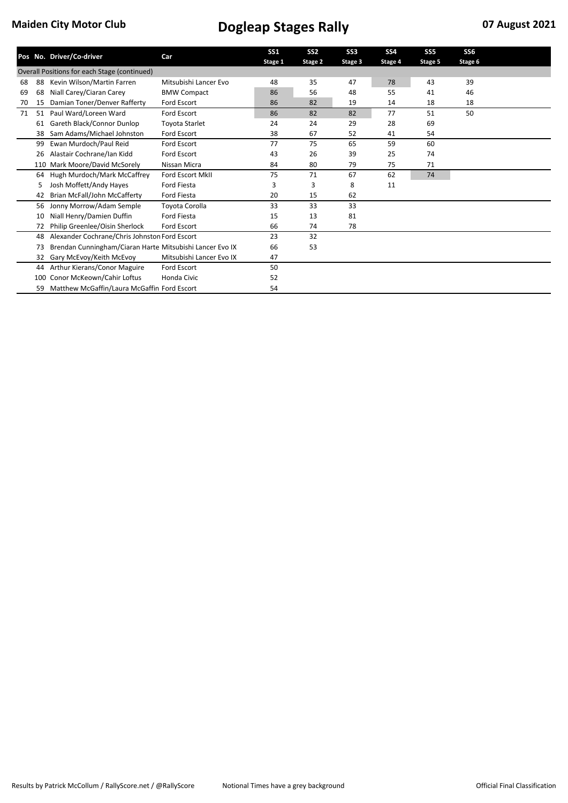|    |     | Pos No. Driver/Co-driver                                 | Car                      | SS <sub>1</sub> | SS <sub>2</sub> | SS <sub>3</sub> | <b>SS4</b> | SS <sub>5</sub> | SS <sub>6</sub> |  |
|----|-----|----------------------------------------------------------|--------------------------|-----------------|-----------------|-----------------|------------|-----------------|-----------------|--|
|    |     |                                                          |                          | Stage 1         | Stage 2         | Stage 3         | Stage 4    | Stage 5         | Stage 6         |  |
|    |     | Overall Positions for each Stage (continued)             |                          |                 |                 |                 |            |                 |                 |  |
| 68 | 88  | Kevin Wilson/Martin Farren                               | Mitsubishi Lancer Evo    | 48              | 35              | 47              | 78         | 43              | 39              |  |
| 69 | 68  | Niall Carey/Ciaran Carey                                 | <b>BMW Compact</b>       | 86              | 56              | 48              | 55         | 41              | 46              |  |
| 70 | 15  | Damian Toner/Denver Rafferty                             | Ford Escort              | 86              | 82              | 19              | 14         | 18              | 18              |  |
| 71 | 51  | Paul Ward/Loreen Ward                                    | <b>Ford Escort</b>       | 86              | 82              | 82              | 77         | 51              | 50              |  |
|    | 61  | Gareth Black/Connor Dunlop                               | Toyota Starlet           | 24              | 24              | 29              | 28         | 69              |                 |  |
|    | 38  | Sam Adams/Michael Johnston                               | Ford Escort              | 38              | 67              | 52              | 41         | 54              |                 |  |
|    | 99  | Ewan Murdoch/Paul Reid                                   | <b>Ford Escort</b>       | 77              | 75              | 65              | 59         | 60              |                 |  |
|    | 26  | Alastair Cochrane/Ian Kidd                               | <b>Ford Escort</b>       | 43              | 26              | 39              | 25         | 74              |                 |  |
|    | 110 | Mark Moore/David McSorely                                | Nissan Micra             | 84              | 80              | 79              | 75         | 71              |                 |  |
|    | 64  | Hugh Murdoch/Mark McCaffrey                              | Ford Escort MkII         | 75              | 71              | 67              | 62         | 74              |                 |  |
|    | 5   | Josh Moffett/Andy Hayes                                  | <b>Ford Fiesta</b>       | 3               | 3               | 8               | 11         |                 |                 |  |
|    | 42  | Brian McFall/John McCafferty                             | <b>Ford Fiesta</b>       | 20              | 15              | 62              |            |                 |                 |  |
|    | 56  | Jonny Morrow/Adam Semple                                 | Toyota Corolla           | 33              | 33              | 33              |            |                 |                 |  |
|    | 10  | Niall Henry/Damien Duffin                                | <b>Ford Fiesta</b>       | 15              | 13              | 81              |            |                 |                 |  |
|    | 72  | Philip Greenlee/Oisin Sherlock                           | <b>Ford Escort</b>       | 66              | 74              | 78              |            |                 |                 |  |
|    | 48  | Alexander Cochrane/Chris Johnston Ford Escort            |                          | 23              | 32              |                 |            |                 |                 |  |
|    | 73  | Brendan Cunningham/Ciaran Harte Mitsubishi Lancer Evo IX |                          | 66              | 53              |                 |            |                 |                 |  |
|    | 32  | Gary McEvoy/Keith McEvoy                                 | Mitsubishi Lancer Evo IX | 47              |                 |                 |            |                 |                 |  |
|    | 44  | Arthur Kierans/Conor Maguire                             | <b>Ford Escort</b>       | 50              |                 |                 |            |                 |                 |  |
|    | 100 | Conor McKeown/Cahir Loftus                               | Honda Civic              | 52              |                 |                 |            |                 |                 |  |
|    | 59  | Matthew McGaffin/Laura McGaffin Ford Escort              |                          | 54              |                 |                 |            |                 |                 |  |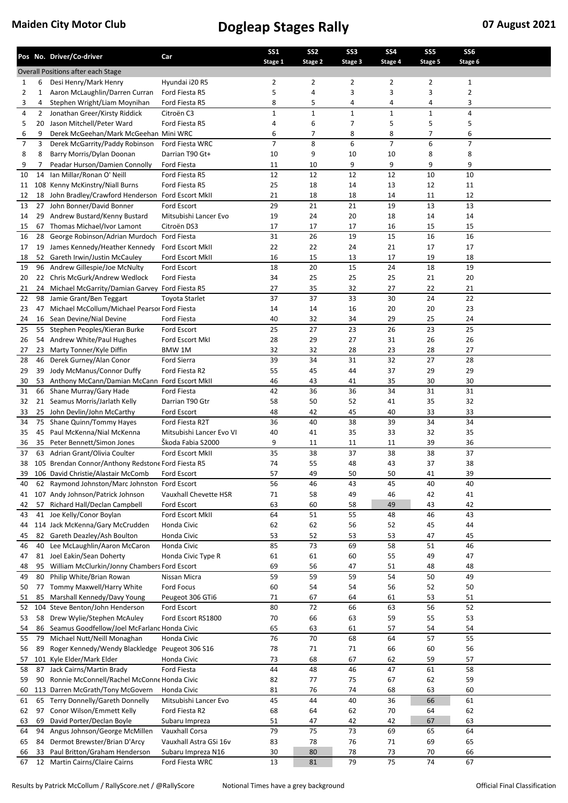|          |                | Pos No. Driver/Co-driver                                                             | Car                               | <b>SS1</b><br>Stage 1 | SS <sub>2</sub><br>Stage 2 | SS <sub>3</sub><br>Stage 3 | SS <sub>4</sub><br>Stage 4 | SS <sub>5</sub><br>Stage 5 | SS <sub>6</sub><br>Stage 6 |  |
|----------|----------------|--------------------------------------------------------------------------------------|-----------------------------------|-----------------------|----------------------------|----------------------------|----------------------------|----------------------------|----------------------------|--|
|          |                | Overall Positions after each Stage                                                   |                                   |                       |                            |                            |                            |                            |                            |  |
| 1        | 6              | Desi Henry/Mark Henry                                                                | Hyundai i20 R5                    | 2                     | 2                          | 2                          | $\overline{2}$             | $\overline{2}$             | $\mathbf{1}$               |  |
| 2        | 1              | Aaron McLaughlin/Darren Curran                                                       | Ford Fiesta R5                    | 5                     | 4                          | 3                          | 3                          | 3                          | $\overline{2}$             |  |
| 3        | 4              | Stephen Wright/Liam Moynihan                                                         | Ford Fiesta R5                    | 8                     | 5                          | 4                          | 4                          | 4                          | 3                          |  |
| 4        | $\overline{2}$ | Jonathan Greer/Kirsty Riddick                                                        | Citroën C3                        | $\mathbf{1}$          | $\mathbf 1$                | $\mathbf 1$                | $\mathbf{1}$               | $\mathbf{1}$               | $\pmb{4}$                  |  |
| 5        | 20             | Jason Mitchell/Peter Ward                                                            | Ford Fiesta R5                    | 4                     | 6                          | 7                          | 5                          | 5                          | 5                          |  |
| 6        | 9              | Derek McGeehan/Mark McGeehan Mini WRC                                                |                                   | 6                     | 7                          | 8                          | 8                          | $\overline{7}$             | 6                          |  |
| 7        | 3              | Derek McGarrity/Paddy Robinson                                                       | Ford Fiesta WRC                   | 7                     | 8                          | 6                          | $\overline{7}$             | 6                          | $\overline{7}$             |  |
| 8<br>9   | 8<br>7         | Barry Morris/Dylan Doonan<br>Peadar Hurson/Damien Connolly                           | Darrian T90 Gt+<br>Ford Fiesta    | 10<br>11              | 9<br>10                    | 10<br>9                    | 10<br>9                    | 8<br>9                     | 8<br>9                     |  |
| 10       | 14             | Ian Millar/Ronan O' Neill                                                            | Ford Fiesta R5                    | 12                    | 12                         | 12                         | 12                         | 10                         | 10                         |  |
| 11       |                | 108 Kenny McKinstry/Niall Burns                                                      | Ford Fiesta R5                    | 25                    | 18                         | 14                         | 13                         | 12                         | 11                         |  |
| 12       | 18             | John Bradley/Crawford Henderson                                                      | Ford Escort MkII                  | 21                    | 18                         | 18                         | 14                         | 11                         | 12                         |  |
| 13       | 27             | John Bonner/David Bonner                                                             | Ford Escort                       | 29                    | 21                         | 21                         | 19                         | 13                         | 13                         |  |
| 14       | 29             | Andrew Bustard/Kenny Bustard                                                         | Mitsubishi Lancer Evo             | 19                    | 24                         | 20                         | 18                         | 14                         | 14                         |  |
| 15       | 67             | Thomas Michael/Ivor Lamont                                                           | Citroën DS3                       | 17                    | 17                         | 17                         | 16                         | 15                         | 15                         |  |
| 16       | 28             | George Robinson/Adrian Murdoch Ford Fiesta                                           |                                   | 31                    | 26                         | 19                         | 15                         | 16                         | 16                         |  |
| 17       | 19             | James Kennedy/Heather Kennedy                                                        | Ford Escort MkII                  | 22                    | 22                         | 24                         | 21                         | 17                         | 17                         |  |
| 18       | 52             | Gareth Irwin/Justin McCauley                                                         | Ford Escort MkII                  | 16                    | 15                         | 13                         | 17                         | 19                         | 18                         |  |
| 19       |                | 96 Andrew Gillespie/Joe McNulty                                                      | Ford Escort                       | 18                    | 20                         | 15                         | 24                         | 18                         | 19                         |  |
| 20       | 22             | Chris McGurk/Andrew Wedlock                                                          | <b>Ford Fiesta</b>                | 34                    | 25                         | 25                         | 25                         | 21                         | 20                         |  |
| 21       | 24             | Michael McGarrity/Damian Garvey Ford Fiesta R5                                       |                                   | 27                    | 35<br>37                   | 32<br>33                   | 27                         | 22                         | 21                         |  |
| 22       | 98             | Jamie Grant/Ben Teggart                                                              | <b>Toyota Starlet</b>             | 37                    |                            |                            | 30                         | 24                         | 22<br>23                   |  |
| 23<br>24 | 16             | 47 Michael McCollum/Michael Pearsor Ford Fiesta<br>Sean Devine/Nial Devine           | Ford Fiesta                       | 14<br>40              | 14<br>32                   | 16<br>34                   | 20<br>29                   | 20<br>25                   | 24                         |  |
| 25       | 55             | Stephen Peoples/Kieran Burke                                                         | Ford Escort                       | 25                    | 27                         | 23                         | 26                         | 23                         | 25                         |  |
| 26       | 54             | Andrew White/Paul Hughes                                                             | Ford Escort MkI                   | 28                    | 29                         | 27                         | 31                         | 26                         | 26                         |  |
| 27       | 23             | Marty Tonner/Kyle Diffin                                                             | BMW 1M                            | 32                    | 32                         | 28                         | 23                         | 28                         | 27                         |  |
| 28       |                | 46 Derek Gurney/Alan Conor                                                           | Ford Sierra                       | 39                    | 34                         | 31                         | 32                         | 27                         | 28                         |  |
| 29       | 39             | Jody McManus/Connor Duffy                                                            | Ford Fiesta R2                    | 55                    | 45                         | 44                         | 37                         | 29                         | 29                         |  |
| 30       |                | 53 Anthony McCann/Damian McCann Ford Escort MkII                                     |                                   | 46                    | 43                         | 41                         | 35                         | 30                         | 30                         |  |
| 31       | 66             | Shane Murray/Gary Hade                                                               | Ford Fiesta                       | 42                    | 36                         | 36                         | 34                         | 31                         | 31                         |  |
| 32       | 21             | Seamus Morris/Jarlath Kelly                                                          | Darrian T90 Gtr                   | 58                    | 50                         | 52                         | 41                         | 35                         | 32                         |  |
| 33       |                | 25 John Devlin/John McCarthy                                                         | Ford Escort                       | 48                    | 42                         | 45                         | 40                         | 33                         | 33                         |  |
| 34       |                | 75 Shane Quinn/Tommy Hayes                                                           | Ford Fiesta R2T                   | 36                    | 40                         | 38                         | 39                         | 34                         | 34                         |  |
| 35       | 45             | Paul McKenna/Nial McKenna                                                            | Mitsubishi Lancer Evo VI          | 40                    | 41                         | 35                         | 33                         | 32                         | 35                         |  |
| 36       | 35             | Peter Bennett/Simon Jones                                                            | Škoda Fabia S2000                 | 9                     | 11                         | 11                         | 11                         | 39                         | 36                         |  |
| 37       |                | 63 Adrian Grant/Olivia Coulter<br>105 Brendan Connor/Anthony Redstone Ford Fiesta R5 | Ford Escort MkII                  | 35<br>74              | 38<br>55                   | 37<br>48                   | 38<br>43                   | 38<br>37                   | 37<br>38                   |  |
| 38<br>39 |                | 106 David Christie/Alastair McComb                                                   |                                   | 57                    | 49                         | 50                         | 50                         | 41                         | 39                         |  |
| 40       |                | 62 Raymond Johnston/Marc Johnston Ford Escort                                        | Ford Escort                       | 56                    | 46                         | 43                         | 45                         | 40                         | 40                         |  |
| 41       |                | 107 Andy Johnson/Patrick Johnson                                                     | Vauxhall Chevette HSR             | 71                    | 58                         | 49                         | 46                         | 42                         | 41                         |  |
| 42       | 57             | Richard Hall/Declan Campbell                                                         | Ford Escort                       | 63                    | 60                         | 58                         | 49                         | 43                         | 42                         |  |
| 43       |                | 41 Joe Kelly/Conor Boylan                                                            | Ford Escort MkII                  | 64                    | 51                         | 55                         | 48                         | 46                         | 43                         |  |
| 44       |                | 114 Jack McKenna/Gary McCrudden                                                      | Honda Civic                       | 62                    | 62                         | 56                         | 52                         | 45                         | 44                         |  |
| 45       | 82             | Gareth Deazley/Ash Boulton                                                           | Honda Civic                       | 53                    | 52                         | 53                         | 53                         | 47                         | 45                         |  |
| 46       | 40             | Lee McLaughlin/Aaron McCaron                                                         | Honda Civic                       | 85                    | 73                         | 69                         | 58                         | 51                         | 46                         |  |
| 47       | 81             | Joel Eakin/Sean Doherty                                                              | Honda Civic Type R                | 61                    | 61                         | 60                         | 55                         | 49                         | 47                         |  |
| 48       | 95             | William McClurkin/Jonny Chambers Ford Escort                                         |                                   | 69                    | 56                         | 47                         | 51                         | 48                         | 48                         |  |
| 49       | 80             | Philip White/Brian Rowan                                                             | Nissan Micra                      | 59                    | 59                         | 59                         | 54                         | 50                         | 49                         |  |
| 50       | 77             | Tommy Maxwell/Harry White                                                            | Ford Focus                        | 60                    | 54                         | 54                         | 56                         | 52                         | 50                         |  |
| 51       | 85             | Marshall Kennedy/Davy Young<br>104 Steve Benton/John Henderson                       | Peugeot 306 GTi6                  | 71<br>80              | 67<br>72                   | 64<br>66                   | 61<br>63                   | 53<br>56                   | 51<br>52                   |  |
| 52<br>53 |                | 58 Drew Wylie/Stephen McAuley                                                        | Ford Escort<br>Ford Escort RS1800 | 70                    | 66                         | 63                         | 59                         | 55                         | 53                         |  |
| 54       |                | 86 Seamus Goodfellow/Joel McFarlanc Honda Civic                                      |                                   | 65                    | 63                         | 61                         | 57                         | 54                         | 54                         |  |
| 55       | 79             | Michael Nutt/Neill Monaghan                                                          | Honda Civic                       | 76                    | $70\,$                     | 68                         | 64                         | 57                         | 55                         |  |
| 56       | 89             | Roger Kennedy/Wendy Blackledge Peugeot 306 S16                                       |                                   | 78                    | 71                         | 71                         | 66                         | 60                         | 56                         |  |
| 57       |                | 101 Kyle Elder/Mark Elder                                                            | Honda Civic                       | 73                    | 68                         | 67                         | 62                         | 59                         | 57                         |  |
| 58       | 87             | Jack Cairns/Martin Brady                                                             | Ford Fiesta                       | 44                    | 48                         | 46                         | 47                         | 61                         | 58                         |  |
| 59       | 90             | Ronnie McConnell/Rachel McConne Honda Civic                                          |                                   | 82                    | 77                         | 75                         | 67                         | 62                         | 59                         |  |
| 60       |                | 113 Darren McGrath/Tony McGovern                                                     | Honda Civic                       | 81                    | 76                         | 74                         | 68                         | 63                         | 60                         |  |
| 61       |                | 65 Terry Donnelly/Gareth Donnelly                                                    | Mitsubishi Lancer Evo             | 45                    | 44                         | 40                         | 36                         | 66                         | 61                         |  |
| 62       | 97             | Conor Wilson/Emmett Kelly                                                            | Ford Fiesta R2                    | 68                    | 64                         | 62                         | 70                         | 64                         | 62                         |  |
| 63       | 69             | David Porter/Declan Boyle                                                            | Subaru Impreza                    | 51                    | 47                         | 42                         | 42                         | 67                         | 63                         |  |
| 64       | 94             | Angus Johnson/George McMillen                                                        | Vauxhall Corsa                    | 79                    | 75                         | 73                         | 69                         | 65                         | 64                         |  |
| 65       | 84             | Dermot Brewster/Brian D'Arcy                                                         | Vauxhall Astra GSi 16v            | 83                    | 78                         | 76                         | 71                         | 69                         | 65                         |  |
| 66       | 33             | Paul Britton/Graham Henderson                                                        | Subaru Impreza N16                | 30                    | 80                         | 78                         | 73                         | 70                         | 66                         |  |
| 67       |                | 12 Martin Cairns/Claire Cairns                                                       | Ford Fiesta WRC                   | 13                    | 81                         | 79                         | 75                         | 74                         | 67                         |  |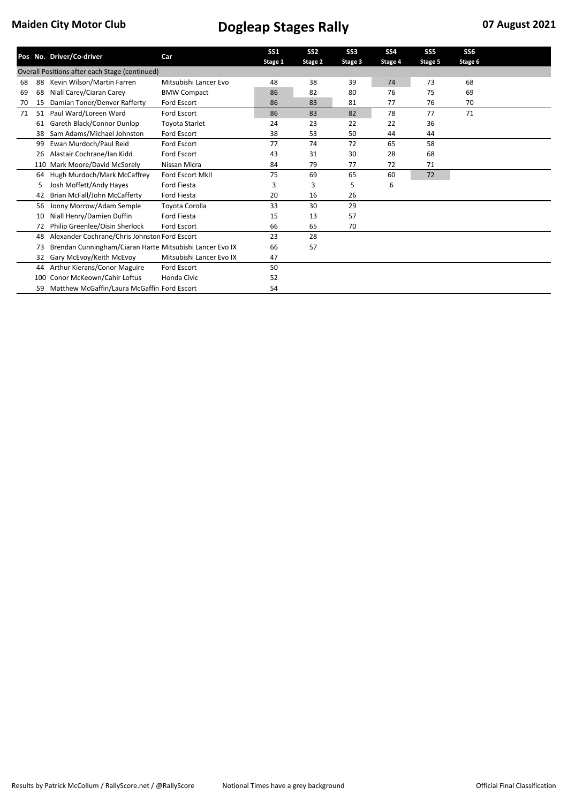|                                                |     | Pos No. Driver/Co-driver                                 | Car                      | <b>SS1</b> | SS <sub>2</sub> | SS <sub>3</sub> | <b>SS4</b> | SS <sub>5</sub> | SS <sub>6</sub> |  |
|------------------------------------------------|-----|----------------------------------------------------------|--------------------------|------------|-----------------|-----------------|------------|-----------------|-----------------|--|
|                                                |     |                                                          |                          | Stage 1    | Stage 2         | Stage 3         | Stage 4    | Stage 5         | Stage 6         |  |
| Overall Positions after each Stage (continued) |     |                                                          |                          |            |                 |                 |            |                 |                 |  |
| 68                                             | 88  | Kevin Wilson/Martin Farren                               | Mitsubishi Lancer Evo    | 48         | 38              | 39              | 74         | 73              | 68              |  |
| 69                                             | 68  | Niall Carey/Ciaran Carey                                 | <b>BMW Compact</b>       | 86         | 82              | 80              | 76         | 75              | 69              |  |
| 70                                             | 15  | Damian Toner/Denver Rafferty                             | Ford Escort              | 86         | 83              | 81              | 77         | 76              | 70              |  |
| 71                                             | 51  | Paul Ward/Loreen Ward                                    | <b>Ford Escort</b>       | 86         | 83              | 82              | 78         | 77              | 71              |  |
|                                                | 61  | Gareth Black/Connor Dunlop                               | Toyota Starlet           | 24         | 23              | 22              | 22         | 36              |                 |  |
|                                                | 38  | Sam Adams/Michael Johnston                               | Ford Escort              | 38         | 53              | 50              | 44         | 44              |                 |  |
|                                                | 99  | Ewan Murdoch/Paul Reid                                   | <b>Ford Escort</b>       | 77         | 74              | 72              | 65         | 58              |                 |  |
|                                                | 26  | Alastair Cochrane/Ian Kidd                               | <b>Ford Escort</b>       | 43         | 31              | 30              | 28         | 68              |                 |  |
|                                                | 110 | Mark Moore/David McSorely                                | Nissan Micra             | 84         | 79              | 77              | 72         | 71              |                 |  |
|                                                | 64  | Hugh Murdoch/Mark McCaffrey                              | Ford Escort MkII         | 75         | 69              | 65              | 60         | 72              |                 |  |
|                                                | 5   | Josh Moffett/Andy Hayes                                  | <b>Ford Fiesta</b>       | 3          | 3               | 5               | 6          |                 |                 |  |
|                                                | 42  | Brian McFall/John McCafferty                             | <b>Ford Fiesta</b>       | 20         | 16              | 26              |            |                 |                 |  |
|                                                | 56  | Jonny Morrow/Adam Semple                                 | Toyota Corolla           | 33         | 30              | 29              |            |                 |                 |  |
|                                                | 10  | Niall Henry/Damien Duffin                                | <b>Ford Fiesta</b>       | 15         | 13              | 57              |            |                 |                 |  |
|                                                | 72  | Philip Greenlee/Oisin Sherlock                           | <b>Ford Escort</b>       | 66         | 65              | 70              |            |                 |                 |  |
|                                                | 48  | Alexander Cochrane/Chris Johnston Ford Escort            |                          | 23         | 28              |                 |            |                 |                 |  |
|                                                | 73  | Brendan Cunningham/Ciaran Harte Mitsubishi Lancer Evo IX |                          | 66         | 57              |                 |            |                 |                 |  |
|                                                | 32  | Gary McEvoy/Keith McEvoy                                 | Mitsubishi Lancer Evo IX | 47         |                 |                 |            |                 |                 |  |
|                                                | 44  | Arthur Kierans/Conor Maguire                             | <b>Ford Escort</b>       | 50         |                 |                 |            |                 |                 |  |
|                                                | 100 | Conor McKeown/Cahir Loftus                               | Honda Civic              | 52         |                 |                 |            |                 |                 |  |
|                                                | 59  | Matthew McGaffin/Laura McGaffin Ford Escort              |                          | 54         |                 |                 |            |                 |                 |  |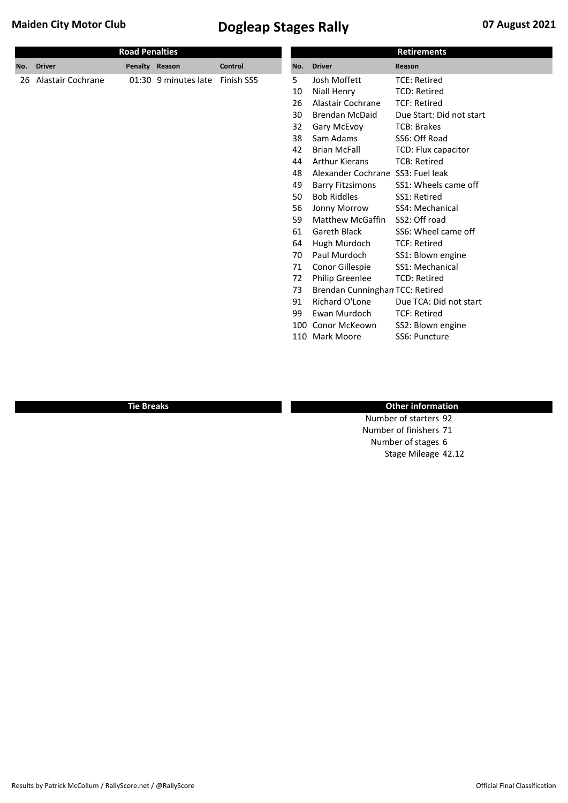| <b>Road Penalties</b> |                   |                |                      |            |     |                                   | <b>Retirements</b>       |
|-----------------------|-------------------|----------------|----------------------|------------|-----|-----------------------------------|--------------------------|
| No.                   | <b>Driver</b>     | Penalty Reason |                      | Control    | No. | <b>Driver</b>                     | Reason                   |
| 26                    | Alastair Cochrane |                | 01:30 9 minutes late | Finish SS5 | 5   | Josh Moffett                      | <b>TCE: Retired</b>      |
|                       |                   |                |                      |            | 10  | Niall Henry                       | <b>TCD: Retired</b>      |
|                       |                   |                |                      |            | 26  | Alastair Cochrane                 | <b>TCF: Retired</b>      |
|                       |                   |                |                      |            | 30  | <b>Brendan McDaid</b>             | Due Start: Did not start |
|                       |                   |                |                      |            | 32  | Gary McEvoy                       | <b>TCB: Brakes</b>       |
|                       |                   |                |                      |            | 38  | Sam Adams                         | SS6: Off Road            |
|                       |                   |                |                      |            | 42  | <b>Brian McFall</b>               | TCD: Flux capacitor      |
|                       |                   |                |                      |            | 44  | <b>Arthur Kierans</b>             | <b>TCB: Retired</b>      |
|                       |                   |                |                      |            | 48  | Alexander Cochrane SS3: Fuel leak |                          |
|                       |                   |                |                      |            | 49  | <b>Barry Fitzsimons</b>           | SS1: Wheels came off     |
|                       |                   |                |                      |            | 50  | <b>Bob Riddles</b>                | SS1: Retired             |
|                       |                   |                |                      |            | 56  | Jonny Morrow                      | SS4: Mechanical          |
|                       |                   |                |                      |            | 59  | <b>Matthew McGaffin</b>           | SS2: Off road            |
|                       |                   |                |                      |            | 61  | Gareth Black                      | SS6: Wheel came off      |
|                       |                   |                |                      |            | 64  | Hugh Murdoch                      | <b>TCF: Retired</b>      |
|                       |                   |                |                      |            | 70  | Paul Murdoch                      | SS1: Blown engine        |
|                       |                   |                |                      |            | 71  | Conor Gillespie                   | SS1: Mechanical          |
|                       |                   |                |                      |            | 72  | Philip Greenlee                   | <b>TCD: Retired</b>      |
|                       |                   |                |                      |            | 73  | Brendan Cunninghan TCC: Retired   |                          |
|                       |                   |                |                      |            | 91  | Richard O'Lone                    | Due TCA: Did not start   |
|                       |                   |                |                      |            | 99  | Ewan Murdoch                      | <b>TCF: Retired</b>      |
|                       |                   |                |                      |            | 100 | Conor McKeown                     | SS2: Blown engine        |
|                       |                   |                |                      |            | 110 | Mark Moore                        | SS6: Puncture            |
|                       |                   |                |                      |            |     |                                   |                          |

#### **Tie Breaks Other information**

Number of starters 92 Number of finishers 71 Number of stages 6 Stage Mileage 42.12